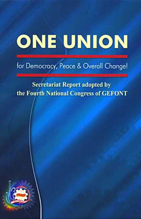# **ONE UNION**

### for Democracy, Peace & Overall Change!

### **Secretariat Report adopted by** the Fourth National Congress of GEFONT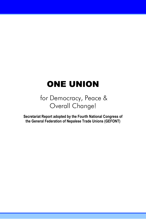## ONE UNION

### for Democracy, Peace & Overall Change!

**Secretariat Report adopted by the Fourth National Congress of the General Federation of Nepalese Trade Unions (GEFONT)**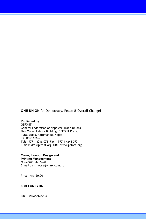**ONE UNION** for Democracy, Peace & Overall Change!

#### **Published by**

GEFONT General Federation of Nepalese Trade Unions Man Mohan Labour Building, GEFONT Plaza, Putalisadak, Kathmandu, Nepal P O Box: 10652 Tel: +977 1 4248 072 Fax: +977 1 4248 073 E-mail: dfa@gefont.org URL: www.gefont.org

**Cover, Lay-out, Design and Printing Management**  M's Mouse, 4265944 E-mail : msmouse@wlink.com.np

Price: Nrs. 50.00

#### **© GEFONT 2002**

ISBN: 99946-940-1-4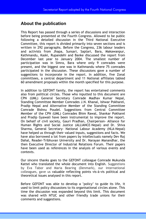#### **About the publication**

This Report has passed through a series of discussions and interaction before being presented at the Fourth Congress. Allowed to be public following a detailed discussion in the Third National Executive Committee, this report is divided primarily into seven sections and is written in 292 paragraphs. Before the Congress, 236 labour leaders and activists from Jhapa, Sunsari, Saptari, Bara, Makawanpur, Kathmandu, Kaski, Rupandehi and Banke discussed the report from December last year to January 2004. The smallest number of participation was in Simra, Bara where only 9 comrades were present, and the biggest one was in Kathmandu where 75 comrades participated in the discussion. These discussions gave a number of suggestions to incorporate in the report. In addition, five Zonal committees, a central department and 11 National affiliates tabled 60 amendment proposals within the month specified for this purpose.

In addition to GEFONT family, the report has entertained comments also from political circles. Those who inputted to this document are CPN (UML) General Secretary Comrade Madhav Kumar Nepal, Standing Committee Member Comrades J.N. Khanal, Ishwar Pokharel, Pradip Nepal and Alternative Member of the Standing Committee Comrade Bishnu Poudel. Suggestions from Central Committee Member of the CPN (UML) Comrades Bhim Rawal, Shankar Pokharel and Pradip Gyawali have been instrumental to improve the report. On behalf of civil society, Gauri Pradhan, Chairperson- Alliance for Human Rights and Social Justice (ALLIANCE-Nepal) and Dr. Shiva Sharma, General Secretary- National Labour Academy (NLA-Nepal) have helped us through their valued inputs, suggestions and facts. We have also borrowed a lot from papers by intellectuals namely Dev Raj Dahal, Reader-Tribhuvan University and Dr. Narayan Manandhar, the then Executive Director of Industrial Relations Forum. Their papers have been used as references in the analysis of various events and contexts.

Our sincere thanks goes to the GEFONT colleague Comrade Mukunda Kattel who translated the whole document into English. Suggestions by Eva Tabor and Maria Bearing (Denmark), our international colleagues, gave us valuable reflecting points vis-à-vis political and theoretical issues analysed in this report.

Before GEFONT was able to develop a 'policy' to guide its life, it used to limit policy discussions to its organisational circles alone. This time the discussion was expanded beyond this limit. This document was shared with NTUC and other friendly trade unions for their comments and suggestions.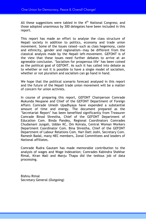All these suggestions were tabled in the  $4<sup>th</sup>$  National Congress; and those adopted unanimous by 300 delegates have been included in this report.

This report has made an effort to analyse the class structure of Nepali society in addition to politics, economy and trade union movement. Some of the issues raised—such as class hegemony, caste and ethnicity, gender and regionalism—may be different from the classical analysis made by the Nepali left-movement. GEFONT is of the view that these issues need further debates to arrive at an agreeable conclusion. 'Socialism for prosperous life' has been coined as the political goal of GEFONT. As such it has called into debate as to whether or not it is possible to have a single model of socialism, whether or not pluralism and socialism can go hand in hand.

We hope that the political scenario forecast analysed in this report and the future of the Nepali trade union movement will be a matter of concern for union activists.

In course of preparing this report, GEFONT Chairperson Comrade Mukunda Neupane and Chief of the GEFONT Department of Foreign Affairs Comrade Umesh Upadhyaya have expended a substantial amount of time and energy. The document prepared as the 'Secretariat Report' has been benefited significantly from Treasurer Comrade Binod Shrestha, Chief of the GEFONT Department of Education Com. Binda Pandey, Regional Coordinators Comrades Chudamani Jungali, Uddav KC, Om Koirala, Central Woman Workers Department Coordinator Com. Bina Shrestha, Chief of the GEFONT Department of Labour Relations Com. Hari Datt Joshi, Secretary Com. Ramesh Badal, many NEC members, Zonal Committees and leaders of National affiliates.

Comrade Rudra Gautam has made memorable contribution to the analysis of wages and Wage Indexation; Comrades Kabindra Shekhar Rimal, Kiran Mali and Manju Thapa did the tedious job of data processing.

Bishnu Rimal Secretary General (Outgoing)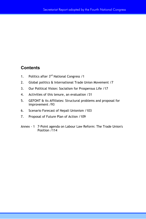#### **Contents**

- 1. Politics after 3<sup>rd</sup> National Congress /1
- 2. Global politics & International Trade Union Movement /7
- 3. Our Political Vision: Socialism for Prosperous Life /17
- 4. Activities of this tenure, an evaluation /31
- 5. GEFONT & its Affiliates: Structural problems and proposal for improvement /93
- 6. Scenario Forecast of Nepali Unionism /103
- 7. Proposal of Future Plan of Action /109
- Annex 1 7-Point agenda on Labour Law Reform: The Trade Union's Position /114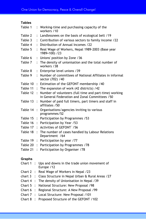| <b>Tables</b> |                      |                                                                                                          |
|---------------|----------------------|----------------------------------------------------------------------------------------------------------|
| Table 1       |                      | : Working-time and purchasing capacity of the<br>workers /10                                             |
| Table 2       | $\ddot{\phantom{a}}$ | Landlessnees on the basis of ecological belt /19                                                         |
| Table 3       | $\ddot{\phantom{a}}$ | Contribution of various sectors to family income /22                                                     |
| Table 4       | $\ddot{\cdot}$       | Distribution of Annual Incomes /22                                                                       |
| Table 5       | $\ddot{\cdot}$       | Real Wage of Workers, Nepal 1989-2003 (Base year<br>1989=100) /23                                        |
| Table 6       | $\ddot{\cdot}$       | Unions' position by Zone /36                                                                             |
| Table 7       | ÷                    | The density of unionisation and the total number of<br>workers / 38                                      |
| Table 8       | ÷                    | Enterprise level unions / 39                                                                             |
| Table 9       | $\ddot{\cdot}$       | Number of committees of National Affiliates in informal<br>sector (702) / 40                             |
| Table 10      | ÷                    | Estimation of the GEFONT membership / 40                                                                 |
| Table 11      |                      | : The expansion of work (42 districts) /42                                                               |
| Table 12      | $\ddot{\cdot}$       | Number of volunteers (full time and part-time) working<br>in General Federation and Zonal Committees /50 |
| Table 13      | $\ddot{\cdot}$       | Number of paid full timers, part timers and staff in<br>affiliates / 50                                  |
| Table 14      | $\ddot{\cdot}$       | Organisations/agencies inviting to various<br>programmes/52                                              |
| Table 15      | $\ddot{\phantom{a}}$ | Participation by Programmes /53                                                                          |
| Table 16      | $\ddot{\cdot}$       | Participation by Year /53                                                                                |
| Table 17      | $\bullet$            | Activities of GEFONT \/56                                                                                |
| Table 18      |                      | The number of cases handled by Labour Relations<br>Department /64                                        |
| Table 19      | $\ddot{\cdot}$       | Participation by year /77                                                                                |
| Table 20      | ÷                    | Participation by Programmes /78                                                                          |
| Table 21      | $\ddot{\cdot}$       | Participation by Organiser /78                                                                           |
| Graphs        |                      |                                                                                                          |
| Chart $1$ :   |                      | Ups and downs in the trade union movement of<br>Europe / 12                                              |
| Chart $2:$    |                      | Real Wage of Workers in Nepal /23                                                                        |
|               |                      |                                                                                                          |

- chart 3 : Class Structure in Nepal Urban & Rural Areas /27
- Chart 4 : The density of Unionisation in Nepal /39
- Chart 5 : National Structure: New Proposal /98
- Chart 6 : Regional Structure: A New Proposal /99
- Chart 7 : Local Structure: New Proposal /101
- Chart 8 : Proposed Structure of the GEFONT /102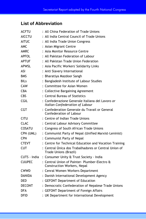#### **List of Abbreviation**

| ACFTU         | : All China Federation of Trade Unions                                              |
|---------------|-------------------------------------------------------------------------------------|
| <b>AICCTU</b> | : All India Central Council of Trade Unions                                         |
| <b>AITUC</b>  | : All India Trade Union Congress                                                    |
| AMC           | : Asian Migrant Centre                                                              |
| AMRC.         | : Asia Monitor Resource Centre                                                      |
| <b>APFOL</b>  | : All Pakistan Federation of Labour                                                 |
| <b>APTUF</b>  | : All Pakistan Trade Union Federation                                               |
| <b>APWSL</b>  | : Asia Pacific Workers' Solidarity Links                                            |
| ASI           | : Anti Slavery International                                                        |
| <b>BMS</b>    | : Bharatiya Mazdoor Sangh                                                           |
| <b>BILs</b>   | : Bangladesh Institute of Labour Studies                                            |
| <b>CAW</b>    | : Committee for Asian Women                                                         |
| CBA           | : Collective Bargaining Agreement                                                   |
| CBS           | : Central Bureau of Statistics                                                      |
| <b>CGIL</b>   | : Confederazione Generale Italiana del Lavoro or<br>Italian Confederation of Labour |
| CGT           | : Confederation Generale du Travail or General<br>Confederation of Labour           |
| CITU          | : Centre of Indian Trade Unions                                                     |
| CLAC          | : Central Labour Advisory Committee                                                 |
| <b>COSATU</b> | : Congress of South African Trade Unions                                            |
| CPN (UML)     | : Communist Party of Nepal (Unified Marxist-Leninist)                               |
| <b>CPN</b>    | : Communist Party of Nepal                                                          |
| <b>CTEVT</b>  | : Centre for Technical Education and Vocation Training                              |
| CUT           | : Central Única dos Trabalhadores or Central Union of<br>Trade Unions (Brazil)      |
| CUTS - India  | : Consumer Unity & Trust Society - India                                            |
| <b>CUUPEC</b> | : Central Union of Painter- Plumber-Electro &<br>Construction Workers, Nepal        |
| <b>CWWD</b>   | : Cenral Women Workers Department                                                   |
| <b>DANIDA</b> | : Danish International Development Agency                                           |
| <b>DED</b>    | : GEFONT Department of Education                                                    |
| <b>DECONT</b> | : Democratic Confederation of Nepalese Trade Unions                                 |
| <b>DFA</b>    | : GEFONT Department of Foreign Affairs                                              |
| DFID          | : UK Department for International Development                                       |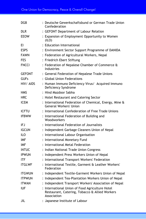| DGB           |                | : Deutsche Gewerkschaftsbund or German Trade Union<br>Confederation                                              |
|---------------|----------------|------------------------------------------------------------------------------------------------------------------|
| <b>DLR</b>    |                | : GEFONT Department of Labour Relation                                                                           |
| <b>EEOW</b>   |                | : Expansion of Employment Opportunity to Women<br>(ILO)                                                          |
| EI            |                | : Education International                                                                                        |
| <b>ESPS</b>   |                | : Environment Sector Support Programme of DANIDA                                                                 |
| <b>FAWN</b>   |                | : Federation of Agricultural Workers, Nepal                                                                      |
| <b>FES</b>    |                | : Friedrich Ebert Stiftung                                                                                       |
| <b>FNCCI</b>  |                | : Federation of Nepalese Chamber of Commerce &<br><b>Industries</b>                                              |
| <b>GEFONT</b> |                | : General Federation of Nepalese Trade Unions                                                                    |
| <b>GUFs</b>   |                | : Global Union Federations                                                                                       |
| HIV/ AIDS     |                | : Human Immuno Deficiency Virus/ Acquired Immuno<br>Deficiency Syndrome                                          |
| <b>HMS</b>    |                | : Hind Mazdoor Sabha                                                                                             |
| <b>HRC</b>    |                | : Hotel Restaurant and Catering Sector                                                                           |
| <b>ICEM</b>   |                | : International Federation of Chemical, Energy, Mine &<br>General Workers' Union                                 |
| <b>ICFTU</b>  |                | International Confederation of Free Trade Unions                                                                 |
| <b>IFBWW</b>  |                | : International Federation of Building and<br>Woodworkers                                                        |
| IFJ           |                | International Federation of Journalists                                                                          |
| <b>IGCUN</b>  |                | Independent Garbage Cleaners Union of Nepal                                                                      |
| <b>ILO</b>    |                | International Labour Organisation                                                                                |
| IMF           |                | International Monetary Fund                                                                                      |
| <b>IMF</b>    |                | International Metal Federation                                                                                   |
| <b>INTUC</b>  |                | Indian National Trade Union Congress                                                                             |
| <b>IPWUN</b>  | $\ddot{\cdot}$ | Independent Press Workers Union of Nepal                                                                         |
| <b>ITF</b>    |                | International Transport Workers' Federation                                                                      |
| <b>ITGLWF</b> |                | : International Textile, Garment & Leather Workers'<br>Federation                                                |
| <b>ITGWUN</b> |                | : Independent Textile-Garment Workers Union of Nepal                                                             |
| <b>ITPWUN</b> |                | : Independent Tea-Plantation Workers Union of Nepal                                                              |
| <b>ITWAN</b>  |                | : Independent Transport Workers' Association of Nepal                                                            |
| IUF           |                | : International Union of Food Agriculture Hotel<br>Restaurant, Catering, Tobacco & Allied Workers<br>Association |
| JIL           |                | : Japanese Institute of Labour                                                                                   |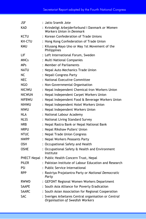| JSF           | : Jatio Sramik Jote                                                                     |  |  |  |  |  |
|---------------|-----------------------------------------------------------------------------------------|--|--|--|--|--|
| <b>KAD</b>    | : Kvindeligt Arbejderforbund i Danmark or Women<br>Workers Union in Denmark             |  |  |  |  |  |
| KCTU          | : Korean Confederation of Trade Unions                                                  |  |  |  |  |  |
| KH-CTU        | : Hong Kong Confederation of Trade Union                                                |  |  |  |  |  |
| KMU           | : Kilusang Mayo Uno or May 1st Movement of the<br>Philippines                           |  |  |  |  |  |
| LIF           | : Left International Forum, Sweden                                                      |  |  |  |  |  |
| <b>MNCs</b>   | : Multi National Companies                                                              |  |  |  |  |  |
| <b>MPs</b>    | : Member of Parliaments                                                                 |  |  |  |  |  |
| NATU          | : Nepal Auto Mechanics Trade Union                                                      |  |  |  |  |  |
| NС            | : Nepali Congress Party                                                                 |  |  |  |  |  |
| <b>NEC</b>    | : National Executive Committee                                                          |  |  |  |  |  |
| NGO           | : Non-Governmental Organisation                                                         |  |  |  |  |  |
| <b>NICIWU</b> | : Nepal Independent Chemical-Iron Workers Union                                         |  |  |  |  |  |
| <b>NICWUN</b> | : Nepal Independent Carpet Workers Union                                                |  |  |  |  |  |
| <b>NIFBWU</b> | : Nepal Independent Food & Beverage Workers Union                                       |  |  |  |  |  |
| <b>NIHWU</b>  | : Nepal Independent Hotel Workers Union                                                 |  |  |  |  |  |
| niwu          | : Nepal Independent Workers Union                                                       |  |  |  |  |  |
| <b>NLA</b>    | : National Labour Academy                                                               |  |  |  |  |  |
| NLSS          | : National Living Standard Survey                                                       |  |  |  |  |  |
| <b>NRB</b>    | : Nepal Rastra Bank or Nepal National Bank                                              |  |  |  |  |  |
| <b>NRPU</b>   | : Nepal Rikshaw Pullers' Union                                                          |  |  |  |  |  |
| NTUC          | : Nepal Trade Union Congress                                                            |  |  |  |  |  |
| <b>NWPP</b>   | : Nepal Workers Peasants Party                                                          |  |  |  |  |  |
| <b>OSH</b>    | : Occupational Safety and Health                                                        |  |  |  |  |  |
| <b>OSHE</b>   | : Occupational Safety & Health and Environment<br>Institute                             |  |  |  |  |  |
|               | PHECT-Nepal: Public Health Concern Trust, Nepal                                         |  |  |  |  |  |
| <b>PILER</b>  | : Pakistan Institute of Labour Education and Research                                   |  |  |  |  |  |
| <b>PSI</b>    | : Public Service International                                                          |  |  |  |  |  |
| RPP           | : Rastriya Prajatantra Party or National Democratic<br>Party                            |  |  |  |  |  |
| RWWD          | : GEFONT Regional Women Workers Department                                              |  |  |  |  |  |
| <b>SAAPE</b>  | : South Asia Alliance for Poverty Eradication                                           |  |  |  |  |  |
| <b>SAARC</b>  | : South Asian Association for Regional Cooperation                                      |  |  |  |  |  |
| <b>SAC</b>    | : Sveriges Arbetares Central organisation or Central<br>Organisation of Swedish Workers |  |  |  |  |  |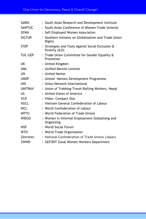| <b>SARDI</b>   | : South Asian Research and Development Institute                   |
|----------------|--------------------------------------------------------------------|
| <b>SAWTUC</b>  | : South Asian Conference of Women Trade Unionist                   |
| <b>SEWA</b>    | : Sefl Employed Women Association                                  |
| <b>SIGTUR</b>  | : Southern Initiates on Globalisation and Trade Union<br>Rights    |
| <b>STEP</b>    | : Strategies and Tools Against Social Exclusion &<br>Poverty (ILO) |
| <b>TUC-GEP</b> | : Trade Union Committee for Gender Equality &<br>Promotion         |
| UK             | : United Kingdom                                                   |
| <b>UML</b>     | : Unified Marxist-Leninist                                         |
| UN             | : United Nation                                                    |
| <b>UNDP</b>    | : Untied Nations Development Programme                             |
| UNI            | : Union Network International                                      |
| <b>UNITRAV</b> | : Union of Trekking-Travel-Rafting Workers, Nepal                  |
| US             | : United States of America                                         |
| <b>VCD</b>     | : Video- Compact Disc                                              |
| <b>VGCL</b>    | : Vietnam General Confederation of Labour                          |
| <b>WCL</b>     | : World Confederation of Labour                                    |
| <b>WFTU</b>    | : World Federation of Trade Unions                                 |
| <b>WIEGO</b>   | : Women in Informal Employment Globalising and<br>Organizing       |
| <b>WSF</b>     | : World Social Forum                                               |
| <b>WTO</b>     | : World Trade Organisation                                         |
| Zenroren       | : National Confederation of Trade Unions (Japan)                   |
| ZWWD           | : GEFONT Zonal Women Workers Department                            |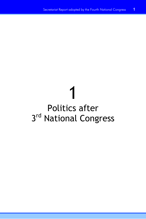## 1 Politics after 3rd National Congress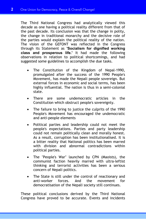The Third National Congress had analytically viewed this decade as one having a political reality different from that of the past decade. Its conclusion was that the change in polity, the change in traditional monarchy and the decisive role of the parties would explain the political reality of the nation. The vision of the GEFONT was reflected in the Congress through its Statement as **'Socialism for dignified working class and prosperous life.'** It had made the following observations in relation to political shortcomings, and had suggested some guidelines to accomplish the due tasks.

- The Constitution of the Kingdom of Nepal-1990, promulgated after the success of the 1990 People's Movement, has made the Nepali people sovereign. But external forces in economic and social terms, has been highly influential. The nation is thus in a semi-colonial state.
- There are some undemocratic articles in the Constitution which obstruct people's sovereignty.
- The failure to bring to justice the culprits of the 1990 People's Movement has encouraged the undemocratic and anti-people elements
- Political parties and leadership could not meet the people's expectations. Parties and party leadership could not remain politically clean and morally honest. As a result, corruption has been institutionalised. It is a bitter reality that National politics has been marred with division and abnormal contradictions within political parties.
- The "People's War" launched by CPN (Maoists), the communist faction heavily marred with ultra-leftist thinking and terrorist activities has been a serious concern of Nepali politics.
- The State is still under the control of reactionary and anti-worker forces. And the movement for democratisation of the Nepali society still continues.

These political conclusions derived by the Third National Congress have proved to be accurate. Events and incidents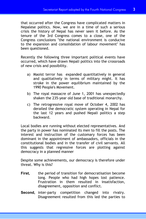that occurred after the Congress have complicated matters in Nepalese politics. Now, we are in a time of such a serious crisis the history of Nepal has never seen it before. As the tenure of the 3rd Congress comes to a close, one of the Congress conclusions "the national environment is conducive to the expansion and consolidation of labour movement" has been questioned.

Recently the following three important political events have occurred, which have drawn Nepali politics into the crossroads of new crisis and possibility.

- a) Maoist terror has expanded quantitatively in general and qualitatively in terms of military might. It has stroke in the power equilibrium maintained by the 1990 People's Movement.
- b) The royal massacre of June 1, 2001 has unexpectedly shaken the 235-year old base of traditional monarchy.
- c) The retrogressive royal move of October 4, 2002 has derailed the democratic system operating in Nepal for the last 12 years and pushed Nepali politics a step backward.

Local bodies are running without elected representatives. And the party in power has nominated its men to fill the posts. The interest and instruction of the customary forces has been dominant in the appointment of ambassadors, officials in the constitutional bodies and in the transfer of civil servants. All this suggests that regressive forces are plotting against democracy in a planned manner

Despite some achievements, our democracy is therefore under threat. Why is this?

- **First,** the period of transition for democratisation become long. People who had high hopes lost patience. Frustration in them resulted in insatisfaction, disagreement, opposition and conflict.
- **Second,** inter-party competition changed into rivalry. Disagreement resulted from this led the parties to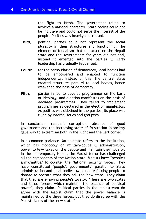the fight to finish. The government failed to achieve a national character. State bodies could not be inclusive and could not serve the interest of the people. Politics was heavily centralised.

- **Third,** political parties could not represent the social plurality in their structures and functioning. The element of feudalism that characterised the Nepali state and the governments for years did not end, instead it emerged into the parties & Party leadership has gradually feudalised.
- **Fourth,** for the consolidation of democracy, local bodies had to be empowered and enabled to function independently. Instead of this, the central state created structures parallel to local bodies, hence weakened the base of democracy.
- **Fifth,** parties failed to develop programmes on the basis of ideology, and election manifestos on the basis of declared programmes. They failed to implement programmes as declared in the election manifestos. As politics was sidelined in the parties, its place was filled by internal feuds and groupism.

In conclusion, rampant corruption, absence of good governance and the increasing state of frustration in society gave way to extremism both in the Right and the Left corner.

In a common parlance Nation-state refers to the institution, which has monopoly on military-police & administration, power to levy taxes on the people and maintain their loyalty. In the contemporary Nepal, the Maoist terror has challenged all the components of the Nation-state. Maoists have '"people's army/militia" to counter the National security forces. They have constituted "people's governments" parallel to State administration and local bodies. Maoists are forcing people to donate to operate what they call the 'new state.' They claim that they are enjoying people's loyalty. "There are two states and three forces, which maintain the balance of political power", they claim. Political parties in the mainstream do agree with the Maoist claim that the power balance is maintained by the three forces, but they do disagree with the Maoist claims of the "new state."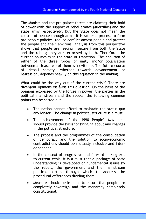The Maoists and the pro-palace forces are claiming their hold of power with the support of rebel armies (guerrillas) and the state army respectively. But the State does not mean the control of people through arms. It is rather a process to form pro-people policies, reduce conflict amidst people and protect the people and their environs. Analysis from this perspective shows that people are feeling insecure from both the State and the rebels; they are terrorised by both. Therefore, the current politics is in the state of transition. The abolition of either of the three forces or unity and/or polarisation between at least two of them is inevitable. The future course of Nepali society, whether towards advancement or regression, depends heavily on this equation in the making.

What could be the way out of the current crisis? There are divergent opinions vis-à-vis this question. On the basis of the opinions expressed by the forces in power, the parties in the political mainstream and the rebels, the following common points can be sorted out.

- The nation cannot afford to maintain the status quo any longer. The change in political structure is a must.
- The achievement of the 1990 People's Movement should provide the basis for bringing about any changes in the political structure.
- The process and the programmes of the consolidation of democracy and the solution to socio-economic contradictions should be mutually inclusive and interdependent.
- In the context of progressive and forward-looking exit to current crisis, it is a must that a 'package' of basic understanding is developed on fundamental issues by the rebels, the government and the mainstream political parties through which to address the procedural differences dividing them.
- Measures should be in place to ensure that people are completely sovereign and the monarchy completely constitutional.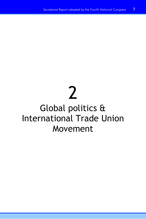# 2

## Global politics & International Trade Union Movement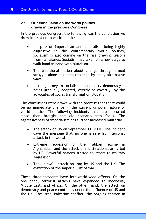#### **2.1 Our conclusion on the world politics drawn in the previous Congress**

In the previous Congress, the following was the conclusion we drew in relation to world-politics.

- In spite of imperialism and capitalism being highly aggressive in the contemporary world politics, socialism is also coming on the rise drawing lessons from its failures. Socialism has taken on a new stage to walk hand in hand with pluralism.
- The traditional notion about change through armed struggle alone has been replaced by many alternative ways.
- In the journey to socialism, multi-party democracy is being gradually adopted, overtly or covertly, by the advocates of social transformation globally.

The conclusions were drawn with the premise that there could be no immediate change in the current unipolar nature of world politics. The following incidents that have occurred since then brought the old scenario into focus. The aggressiveness of imperialism has further increased militarily.

- The attack on US on September 11, 2001. The incident gave the message that 'no one is safe from terrorist attack in the world'.
- Extreme repression of the Taliban regime in Afghanistan and the attack of multi-national army led by US. Powerful nations started to resort to military aggression.
- The unlawful attack on Iraq by US and the UK. The exhibition of the imperial lust of war.

These three incidents have left world-wide effects. On the one hand, terrorist attacks have expanded to Indonesia, Middle East, and Africa. On the other hand, the attack on democracy and peace continues under the influence of US and the UK. The Israel-Palestine conflict, the ongoing tension in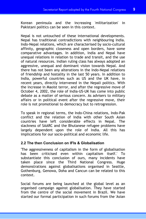Korean peninsula and the increasing 'militarization' in Pakistani politics can be seen in this context.

Nepal is not untouched of these international developments. Nepal has traditional contradictions with neighbouring India. Indo-Nepal relations, which are characterised by socio-cultural affinity, geographic closeness and open borders, have some comparative advantages. In addition, India and Nepal have unequal relations in relation to trade and transit, and the use of natural resources. Indian ruling class has always adopted an aggressive, unequal and dominant vision towards Nepal. And there has not been any alterations in the Indo-Nepal relations of friendship and hostality in the last 50 years. In addition to India, powerful countries such as US and the UK have, in recent years, directly intervened in the Nepali politics. With the increase in Maoist terror, and after the regressive move of October 4, 2002, the role of India-US-UK has come into public debate as a matter of serious concern. As advisers to military affairs or in political event after the regressive move, their role is not promotional to democracy but to retrogression.

To speak in regional terms, the Indo-China relations, Indo-Pak conflict and the relation of India with other South Asian countries have left considerable effects in Nepal. The slackness of SAARC and the Bhutanese refugee problems have largely dependent upon the role of India. All this has implications for our socio-political and economic life.

#### **2.2 The then Conclusion on IFIs & Globalisation**

'The aggressiveness of capitalism in the form of globalisation has been criticised even within capitalism itself.' To substantiate this conclusion of ours, many incidents have taken place since the Third National Congress. Huge demonstrations against globalisations organised in Seattle, Gothenburg, Genowa, Doha and Cancun can be related to this context.

Social forums are being launched at the global level as an organised campaign against globalisation. They have started from the centre of the social movement in Brazil. We have started our formal participation in such forums from the 'Asian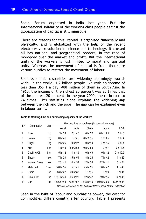Social Forum' organised in India last year. But the international solidarity of the working class people against the globalization of capital is still miniscule.

There are reasons for this: capital is organised financially and physically, and is globalized with the help of the recent electro-wave revolution in science and technology. It crossed all has national and geographical borders, in the race of monopoly over the market and profit. But the international unity of the workers is just limited to moral and spiritual unity. Whereas the movement of capital is free, there are various hurdles to restrict the movement of labour.

Socio-economic disparities are widening alarmingly worldwide. In the world, 1.2 billion people live with an income of less than US\$ 1 a day, 488 million of them in South Asia. In 1960, the income of the richest 20 percent was 30 times that of the poorest 20 percent. In the year 2000, the ratio rose to 74 times. This statistics alone explains the widening gap between the rich and the poor. The gap can be explained even in labour terms.

| <b>SN</b> | Commodity          | Unit           | Working time to purchase (In hours & minutes) |           |            |              |                   |  |
|-----------|--------------------|----------------|-----------------------------------------------|-----------|------------|--------------|-------------------|--|
|           |                    |                | Nepal                                         | India     | China      | Japan        | <b>USA</b>        |  |
| 1         | Rice               | 1 kg           | 1hr 33                                        | 28 hr 5   | 0 hr 22    | 0 hr 13.5    | 0 <sub>hr</sub> 5 |  |
| 2         | Potato             | 1 kg           | 0 hr 41                                       | 9 hr 5    | 0 hr 22.5  | 0 hr 9.5     | 0 <sub>hr</sub> 4 |  |
| 3         | Sugar              | 1 kg           | 2 hr 25                                       | 0 hr 27   | 0 hr 14    | 0 hr 7.5     | 0 hr 4            |  |
| 4         | Milk               | 1 <sup>1</sup> | 1 hr 43                                       | 0 hr 25.5 | 0 hr 33.5  | 0 hr 7       | 0 hr 3.5          |  |
| 5         | Cooking Oil        | 1 <sup>1</sup> | 5 hr 12                                       | 1 hr 19   | 0 hr 49    | 0 hr 12      | 0 hr 10.5         |  |
| 6         | Shoes              | 1 set          | 17 hr 20                                      | 15 hr 51  | 8 hr 23    | 7 hr 42      | 4 hr 25           |  |
| 7         | <b>Women Dress</b> | 1 set          | 26 hr 1                                       | 14 hr 32  | 12 hr 34   | 22 hr 11     | 5 hr 54           |  |
| 8         | Male Suit          | 1 set          | 346 hr 55                                     | 58 hr 9   | 75 hr 25   | 30 hr 47     | 14 hr 45          |  |
| 9         | Radio              | 1 pc           | 43 hr 22                                      | 39 hr 38  | 15 hr 5    | 6 hr 9       | 3 hr 41           |  |
| 10        | Colour TV          | 1 pc           | 1387 hr 40                                    | 396 hr 25 | 82 hr 47   | 19 hr 15     | 14 hr 45          |  |
| 11        | Car                | 1 pc           | 43365 hr 8                                    | 7928 hr 7 | 4818 hr 10 | 1159 hr 33.5 | 1327 hr 44        |  |

**Table 1: Working-time and purchasing capacity of the workers** 

*Source: Analysed on the basis of International Metal Federation* 

Seen in the light of labour and purchasing power, the cost for commodities differs country after country. Table 1 presents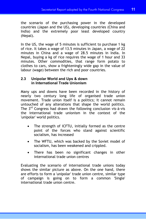the scenario of the purchasing power in the developed countries (Japan and the US), developing countries (China and India) and the extremely poor least developed country (Nepal).

In the US, the wage of 5 minutes is sufficient to purchase 1 kg of rice. It takes a wage of 13.5 minutes in Japan, a wage of  $2\overline{2}$ minutes in China and a wage of 28.5 minutes in India. In Nepal, buying a kg of rice requires the wage of 1 hour and 33 minutes. Other commodities, that range form potato to clothes to cars, show a frighteningly wide gap in the value of labour (wage) between the rich and poor countries.

#### **2.3 Unipolar World and Ups & down in International Trade Unionism**

Many ups and downs have been recorded in the history of nearly two century long life of organised trade union movement. Trade union itself is a politics; it cannot remain untouched of any alterations that shape the world politics. The 3rd Congress had drawn the following conclusion vis-à-vis the international trade unionism in the context of the 'unipolar' world politics.

- The strength of ICFTU, initially formed as the centre point of the forces who stand against scientific socialism, has increased
- The WFTU, which was backed by the Soviet model of socialism, has been weakened and crippled.
- There has been no significant changes in other international trade union centres

Evaluating the scenario of international trade unions today shows the similar picture as above. On the one hand, there are efforts to form a 'unipolar' trade union centre, similar type of campaign is going on to form a common 'Single' international trade union centre.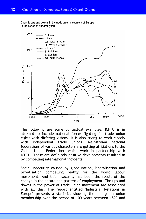#### **Chart 1: Ups and downs in the trade union movement of Europe in the period of hundred years**



The following are some contextual examples. ICFTU is in attempt to include national forces fighting for trade union rights with differing visions. It is also trying to work closely with independent trade unions. Mainstream national federations of various characters are getting affiliations to the Global Union Federations which work in partnership with ICFTU. These are definitely positive developments resulted in by compelling international incidents.

Social insecurity caused by globalisation, liberalisation and privatisation compelling reality for the world labour movement. And this insecurity has been the result of the change in the nature and pattern of employment. The ups and downs in the power of trade union movement are associated with all this. The report entitled 'Industrial Relations in Europe" presents a statistics showing the change in union membership over the period of 100 years between 1890 and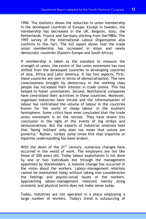1990. The statistics shows the reduction in union membership in the developed countries of Europe. Except in Sweden, the membership has decreased in the UK, Belgium, Italy, the Netherlands, France and Germany starting from the1980s. The 1997 survey of the International Labour Organisation also confirms to this fact. The ILO report shows that the trade union membership has increased in Asian and newly democratic countries (Eastern Europe and South Africa).

If membership is taken as the standard to measure the strength of union, the centre of the union movement has now shifted from the developed countries to developing countries of Asia, Africa and Latin America. It has two aspects. First, these countries are new in terms of democratisation. The new consciousness brought by democracy in the working class people has increased their interest in trade unions. This has helped to foster unionisation. Second, Multilateral companies have centralised their activities in these countries. Moreover, organised industries have shrunk and the informalisation of labour has centralised the volume of labour in the countries known for 'the world of cheap labour' in the southern hemisphere. Some critics have even concluded that the trade union movement is on the retreat. They have drawn this conclusion in the light of the events of big strikes and demonstrations. But the experts of industrial relations hold that "being 'militant' only does not mean that unions are powerful." Rather, 'strikes' some times hint that tripartite or bipartite understanding has been broken.

With the dawn of the  $21^{st}$  century, numerous changes have occurred in the world of work. The employers are not like those of 200 years old. Today labour exploitation is not done by one or two individuals but through the management appointed by shareholders. A massive change has occurred in the vision about the workers. Labour-management relations cannot be maintained today without taking into consideration the feelings and psycho-social issues of the workers. Approaching labour-management relations merely along economic and physical terms does not make sense today.

Today, industries are not operated in a place employing a large number of workers. Today's trend is outsourcing of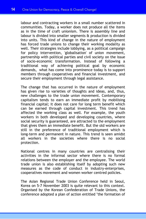labour and contracting workers in a small number scattered in communities. Today, a worker does not produce all the items as in the time of craft unionism. There is assembly line and labour is divided into smaller segments & production is divided into units. This kind of change in the nature of employment has forced trade unions to change their working modality as well. Their strategies include lobbying, as a political campaign for policy intervention, 'globalisation' of union movement, partnership with political parties and civil society on the issue of socio-economic transformation. Instead of following a traditional way of achieving political goal by economic demands, what has come into prominence today is to support members through cooperatives and financial investment, and secure their employment through legal assistance.

The change that has occurred in the nature of employment has given rise to varieties of thoughts and ideas, and, thus, new challenges to the trade union movement. Contemporary capitalism tends to earn an immediate profit by mobilising financial capital; it does not care for long term benefit which can be earned through capital investment. This trend has affected the working class as well. For example, the youth workers in both developed and developing countries, where social security is guaranteed, are attracted to the employment that gives them an immediate benefit. But the old workers are still in the preference of traditional employment which is long-term and permanent in nature. This trend is seen amidst all workers in the societies where there is no social protection.

National centres in many countries are centralising their activities in the informal sector where there is no formal relations between the employer and the employee. The world trade union is also establishing itself by adopting such new measures as the code of conduct in industry-enterprises, cooperatives movement and women worker centred policies.

The Asian Regional Trade Union Conference held in Seoul, Korea on 5-7 November 2003 is quite relevant to this context. Organised by the Korean Confederation of Trade Unions, the conference adopted a plan of action entitled "the formation of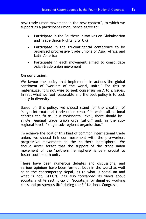new trade union movement in the new context", to which we support as a participant union, hence agree to:

- Participate in the Southern Initiatives on Globalisation and Trade Union Rights (SIGTUR)
- Participate in the tri-continental conference to be organised progressive trade unions of Asia, Africa and Latin America
- Participate in each movement aimed to consolidate Asian trade union movement.

#### **On conclusion,**

We favour the policy that implements in actions the global sentiment of "workers of the world, unite." For this to materialize, it is not wise to seek consensus on A to Z issues. In fact what we feel reasonable and the best policy is to seek 'unity in diversity.'

Based on this policy, we should stand for the creation of "single international trade union centre" in which all national centres can fit in. In a continental level, there should be " single regional trade union organisation" and, in the subregional level, " single sub-regional organisation."

To achieve the goal of this kind of common international trade union, we should link our movement with the pro-workers progressive movements in the southern hemisphere. We should never forget that the support of the trade union movement of the 'northern hemisphere' is very crucial to foster south-south unity.

There have been numerous debates and discussions, and various opinions have been formed, both in the world as well as in the contemporary Nepal, as to what is socialism and what is not. GEFONT has also forwarded its views about socialism while setting-up of "socialism for dignified working class and prosperous life" during the 3rd National Congress.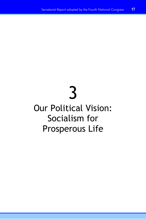# 3

## Our Political Vision: Socialism for Prosperous Life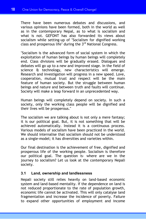There have been numerous debates and discussions, and various opinions have been formed, both in the world as well as in the contemporary Nepal, as to what is socialism and what is not. GEFONT has also forwarded its views about socialism while setting-up of "Socialism for dignified working class and prosperous life" during the 3rd National Congress.

"Socialism is the advanced form of social system in which the exploitation of human beings by human beings will completely end. Class divisions will be gradually erased. Dialogues and debates will go up to a new and improved stage. In the field of science & technology, new characteristics will emerge. Research and investigation will progress in a new speed. Love, cooperation, mutual trust and respect will be the main feature of human society. But the struggle between human beings and nature and between truth and faults will continue. Society will make a leap forward in an unprecedented way.

Human beings will completely depend on society. In such a society, only the working class people will be dignified and their lives will be prosperous."

The socialism we are talking about is not only a mere fantasy; it is our political goal. But, it is not something that will be achieved automatically. Instead it is a continuous process. Various models of socialism have been practiced in the world. We should internalise that socialism should not be understood as a single-model; it has diversities and varieties within.

Our final destination is the achievement of free, dignified and prosperous life of the working people. Socialism is therefore our political goal. The question is- where are we in the journey to socialism? Let us look at the contemporary Nepali society.

#### **3.1 Land, ownership and landlessness**

Nepali society still relies heavily on land-based economic system and land-based mentality. If the dependence on land is not reduced proportionate to the rate of population growth, economic life cannot be activated. This will only catalyse land fragmentation and increase the incidence of poverty. Failure to expand other opportunities of employment and income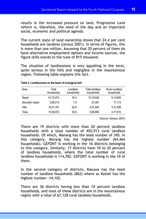results in the increased pressure on land. Progressive Land reform is, therefore, the need of the day and an important social, economic and political agenda.

The current state of land ownership shows that 24.4 per cent households are landless (census 2001). In terms of figures, this is more than one million. Assuming that 20 percent of them do have alternative employment options and income sources, the figure stills stands to the tune of 815 thousand.

The situation of landlessness is very appalling in the terai, quite serious in the hills and negligible in the mountainous region. Following table explains this fact.

| Area            | Total<br>Households | Landless<br>households | Total landless<br>households | <b>Rural Landless</b><br>households |
|-----------------|---------------------|------------------------|------------------------------|-------------------------------------|
| Nepal           | 41,74,374           | 24.4                   | 10,18,548                    | 8,14,839                            |
| Mountain region | 2.85.213            | 7.5                    | 21.391                       | 17.113                              |
| <b>Hills</b>    | 19,51,191           | 20.6                   | 4,01,945                     | 3,21,556                            |
| Terai           | 19,38,970           | 30.8                   | 5,96,895                     | 4,77,516                            |

#### **Table 2: Landlessnees on the basis of ecological belt**

(Source: Census, 2001)

There are 19 districts with more than 20 percent landless households with a total number of 452,913 rural landless households. Of which, Manang has the least number of 345. In this category, Morang has the highest number (64,464 households). GEFONT is working in the 16 districts belonging to this category. Similarly, 17 districts have 10 to 20 percent of landless households, where the total number of rural landless households is 114,782. GEFONT is working in the 10 of them.

In the second category of districts, Rasuwa has the least number of landless households (862) where as Kailali has the highest number—14,102.

There are 36 districts having less than 10 percent landless households, and most of these districts are in the mountainous region with a total of 67,128 rural landless households.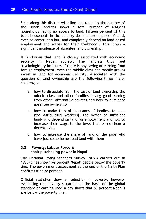Seen along this district-wise line and reducing the number of the urban landless shows a total number of 634,823 households having no access to land. Fifteen percent of this total households in the country do not have a piece of land, even to construct a hut, and completely depend on land-based employment and wages for their livelihoods. This shows a significant incidence of absentee land ownership.

It is obvious that land is closely associated with economic security in Nepali society. The landless thus feel psychologically insecure. If there is any saving or earning from foreign employment, even the middle class and mobile groups invest in land for economic security. Associated with the question of land ownership are the following three major challenges:

- a. how to dissociate from the lust of land ownership the middle class and other families having good earning from other alternative sources and how to eliminate absentee ownership
- b. how to make tens of thousands of landless families (the agricultural workers), the owner of sufficient land- who depend on land for employment and how to increase their wage to the level that earns them a decent living
- c. how to increase the share of land of the poor who have just some homestead land with them

#### **3.2 Poverty, Labour Force & their purchasing power in Nepal**

The National Living Standard Survey (NLSS) carried out in 1995/6 has shown 42 percent Nepali people below the poverty line. The government assessment at the end of the Ninth Plan confirms it at 38 percent.

Official statistics show a reduction in poverty, however evaluating the poverty situation on the basis of the global standard of earning US\$1 a day shows that 53 percent Nepalis are below the poverty line.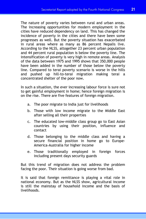The nature of poverty varies between rural and urban areas. The increasing opportunities for modern employment in the cities have reduced dependency on land. This has changed the incidence of poverty in the cities and there have been some progresses as well. But the poverty situation has exacerbated in rural areas where as many as 86 percent Nepalis live. According to the NLSS, altogether 23 percent urban population and 44 percent rural population is below the poverty line. The intensification of poverty is very high in remote areas. Analysis of the data between 1975 and 1995 shows that 350,000 people have been added in the number of those below the poverty line. Compared to terai poverty scenario is worse in the hills and pushed up hill-to-terai migration making terai a concentrated shelter of the poor now.

In such a situation, the ever increasing labour force is sure not to get gainful employment in home; hence foreign migration is on the rise. There are five features of foreign migration.

- a. The poor migrate to India just for livelihoods
- b. Those with low income migrate to the Middle East after selling all their properties
- c. The educated low-middle class group go to East Asian countries by using their position, influence and contact
- d. Those belonging to the middle class and having a secure financial position in home go to Europe-America-Australia for higher income
- e. Those traditionally employed in foreign forces including present days security guards

But this trend of migration does not address the problem facing the poor. Their situation is going worse from bad.

It is said that foreign remittance is playing a vital role in national economy. But as the NLSS show, agricultural income is still the mainstay of household income and the basis of livelihoods.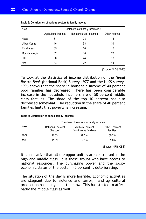| Area            | Contribution of Family income in % |                          |               |  |  |  |  |  |
|-----------------|------------------------------------|--------------------------|---------------|--|--|--|--|--|
|                 | Agricultural incomes               | Non-agricultural incomes | Other incomes |  |  |  |  |  |
| Nepal           | 61                                 | 23                       | 16            |  |  |  |  |  |
| Urban Centre    | 16                                 | 53                       | 31            |  |  |  |  |  |
| Rural Areas     | 65                                 | 20                       | 15            |  |  |  |  |  |
| Mountain region | 62                                 | 18                       | 20            |  |  |  |  |  |
| Hills           | 58                                 | 24                       | 18            |  |  |  |  |  |
| terai           | 64                                 | 22                       | 14            |  |  |  |  |  |

| Table 3: Contribution of various sectors to family income |  |  |  |  |  |  |  |  |  |
|-----------------------------------------------------------|--|--|--|--|--|--|--|--|--|
|-----------------------------------------------------------|--|--|--|--|--|--|--|--|--|

(Source: NLSS 1996)

To look at the statistics of income distribution of the *Nepal Rastra Bank (*National Bank) Survey-1977 and the NLSS survey-1996 shows that the share in household income of 40 percent poor families has decreased. There has been considerable increase in the household income share of 50 percent middle class families. The share of the top 10 percent has also decreased somewhat. The reduction in the share of 40 percent families hints that poverty is increasing.

|      |                                 | The share of total annual family incomes   |                             |
|------|---------------------------------|--------------------------------------------|-----------------------------|
| Year | Bottom 40 percent<br>(the poor) | Middle 50 percent<br>(mid-income families) | Rich 10 percent<br>families |
| 1977 | 12.6%                           | 28.2%                                      | 59.2%                       |
| 1996 | 11.0%                           | 37.1%                                      | 52.0%                       |

#### **Table 4: Distribution of annual family Incomes**

(Source: NRB, CBS)

It is indicative that all the opportunities are centralised in the high and middle class. It is these groups who have access to national resources. The purchasing power and the socioeconomic status of the bottom 40 percent is deteriorating.

The situation of the day is more horrible. Economic activities are stagnant due to violence and terror, and agricultural production has plunged all time low. This has started to affect badly the middle class as well.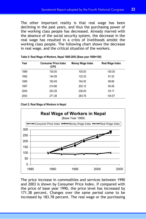The other important reality is that real wage has been declining in the past years, and thus the purchasing power of the working class people has decreased. Already marred with the absence of the social security system, the decrease in the real wage has resulted in a crisis of livelihoods amidst the working class people. The following chart shows the decrease in real wage, and the critical situation of the workers.

| Year | <b>Consumer Price Index</b><br>(CPI) | <b>Money Wage Index</b> | Real Wage Index |
|------|--------------------------------------|-------------------------|-----------------|
| 1989 | 100.00                               | 100.00                  | 100.00          |
| 1992 | 144.59                               | 132.33                  | 91.52           |
| 1995 | 183.49                               | 164.55                  | 89.68           |
| 1997 | 214.86                               | 202.15                  | 94.08           |
| 2000 | 253.39                               | 236.09                  | 93.17           |
| 2003 | 271.38                               | 283.78                  | 104.57          |
|      |                                      |                         |                 |

| Table 5: Real Wage of Workers, Nepal 1989-2003 (Base year 1989=100) |  |  |
|---------------------------------------------------------------------|--|--|
|---------------------------------------------------------------------|--|--|

**Chart 2: Real Wage of Workers in Nepal** 



The price increase in commodities and services between 1990 and 2003 is shown by Consumer Price Index. If compared with the price of base year 1990, the price level has increased by 171.38 percent. Changes over the same period come to be increased by 183.78 percent. The real wage or the purchasing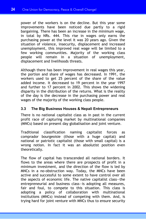power of the workers is on the decline. But this year some improvements have been noticed due partly to a rigid bargaining. There has been an increase in the minimum wage, in total by NRs. 444. This rise in wages only earns the purchasing power at the level it was 20 years ago. Given the situation of violence, insecurity, displacement and increased unemployment, this improved real wage will be limited to a few working communities. Majority of the working class people will remain in a situation of unemployment, displacement and livelihoods threats.

Although there has been improvement in real wages this year, the portion and share of wages has decreased. In 1991, the workers used to get 25 percent of the share of the value added income. It decreased to 19 percent in the year 1997 and further to 17 percent in 2002. This shows the widening disparity in the distribution of the returns. What is the reality of the day is the decrease in the purchasing power and real wages of the majority of the working class people.

#### **3.3 The Big Business Houses & Nepali Entrepreneurs**

There is no national capitalist class as in past in the current profit race of capturing market by multinational companies (MNCs) based on present day globalisation and joint venture.

Traditional classification naming capitalist forces as comprador bourgeoisie (those with a huge capital) and national or patriotic capitalist (those with small capital) is a wrong notion. In fact it was an absolutist position even theoretically.

The flow of capital has transcended all national borders. It flows to the areas where there are prospects of profit in a minimum investment, and the direction of the flow is led by MNCs in a no-obstruction way. Today, the MNCs have been active and successful to some extent to have control over all the aspects of economic life. The native capitalist class—the entrepreneurial and business class—is adopting all measures, fair and foul, to compete to this situation. This class is adopting a policy of collaboration with multinational institutions (MNCs) instead of competing with them. And, is trying hard for joint venture with MNCs thus to ensure security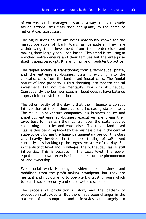of entrepreneurial-managerial status. Always ready to evade tax-obligations, this class does not qualify to the name of national capitalist class.

The big business houses are being notoriously known for the misappropriation of bank loans as defaulters. They are withdrawing their investment from their enterprises and making them largely bank loan-based. This trend is resulting in enriched entrepreneurs and their families but the enterprise itself is going bankrupt. It is an unfair and fraudulent practice.

The Nepali society is transitioning from a semi-feudal phase, and the entrepreneur-business class is evolving into the capitalist class from the land-based feudal class. The feudal nature of land property is thus changing into modern capital investment, but not the mentality, which is still feudal. Consequently the business class in Nepal doesn't have balance approach in industrial relations.

The other reality of the day is that the influence & corrupt intervention of the business class is increasing state power. The MNCs, joint venture companies, big business houses and ambitious entrepreneur-business executives are trying their level best to maintain their control over the state policies concerning industries and enterprises. The feudal land-based class is thus being replaced by the business class in the central state-power. During the hung- parliamentary period, this class was heavily involved in the horse-trading of MPs. And currently it is backing-up the regressive state of the day. But in the district level and in villages, the old feudal class is still influential. This is because in the local level, the power equation and power exercise is dependent on the phenomenon of land ownership.

Even social work is being considered like business and mobilised from the profit-making standpoint but they are hesitant and not dynamic to operate big trust through which to launch social security and social welfare scheme.

The process of production is slow, and the pattern of production status-quoits. But there have been changes in the pattern of consumption and life-styles due largely to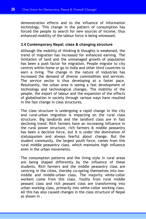demonstration effects and to the influence of information technology. This change in the pattern of consumption has forced the people to search for new sources of income, thus enhanced mobility of the labour force is being witnessed.

#### **3.4 Contemporary Nepal; class & changing structure**

Although the mobility of thinking & thoughts is weakened, the trend of migration has increased for enhanced earning. The limitation of land and the unmanaged growth of population has been a push factor for migration. People migrate to city centres within home or go to India and other third countries to earn a living. The change in the nature of industries has increased the demand of diverse commodities and services. The service sector is thus developing at a faster pace. Resultantly, the urban area is seeing a fast development of technology and technological changes. The mobility of the people, the export of labour and the expansion of the effects of globalisation in society through various ways have resulted in the fast change in class structures.

The class structure is undergoing a rapid change in the city and rural-urban migration is impacting on the rural class structure. Big landlords and the landlord class are in fast declining trend. Rich farmers have an increasing influence in the rural power structure, rich farmers & middle peasantry has been a decisive force, but it is under the domination of statusquoism and always fearful about change. But the student community, the largest youth force, comes from this rural middle peasantry class, which maintains high influence even in the urban movements.

The consumption patterns and the living style in rural areas are being shaped differently by the influence of these students. Rich farmers and the middle peasantry class are centring in the cities, thereby co-opting themselves into lowmiddle and middle-urban class. The majority white-collar workers come from this class. Youths from rural middle peasant class and rich peasant class are transforming into urban working class, primarily into white-collar working class. All this has also caused changes in the class structure of Nepal as shown in .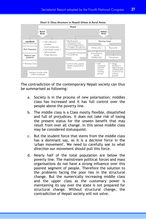

The contradiction of the contemporary Nepali society can thus be summarised as following:

- a. Society is in the process of new polarisation; middles class has increased and it has full control over the people above the poverty line.
- b. The middle class is a Class mostly flexible, dissatisfied and full of prejudices. It does not take risk of losing the present status for the unseen benefit that may result from over all change. In this sense middle class may be considered statusquoist.
- c. But the student force that stems from the middle class has a dominant say, as it is a decisive force in the 'urban movement'. We need to carefully see to what direction our movement should pull this force.
- d. Nearly half of the total population are below the poverty line. The mainstream political forces and mass organisations do not have a strong influence over this poorest segment of people. Therefore the solution to the problems facing the poor lies in the structural change. But the numerically increasing middle class and the upper class as the customary power is maintaining its say over the state is not prepared for structural change. Without structural change, the contradiction of Nepali society will not solve.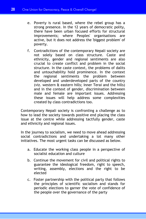- e. Poverty is rural based, where the rebel group has a strong presence. In the 12 years of democratic polity, there have been urban focused efforts for structural improvements; where Peoples' organisations are active, but it does not address the 'biggest problem' of poverty.
- f. Contradictions of the contemporary Nepali society are not solely based on class structure. Caste and ethnicity, gender and regional sentiments are also crucial to create conflict and problem in the social structure. In the caste context, the problems of dalits and untouchability hold prominence. In the context the regional sentiments the problem between developed and underdeveloped parts of the country (viz. western & eastern hills; Inner Terai and the hills) and in the context of gender, discrimination between male and female are important issues. Addressing these issues will help address some complexities created by class contradictions too.

Contemporary Nepali society is confronting a challenge as to how to lead the society towards positive end placing the class issue at the centre while addressing tactfully gender, caste and ethnicity and regional issues.

In the journey to socialism, we need to move ahead addressing social contradictions and undertaking a lot many other initiatives. The most urgent tasks can be discussed as below.

- a. Educate the working class people in a perspective of socialist education and culture
- b. Continue the movement for civil and political rights to guarantee the ideological freedom, right to speech, writing, assembly, elections and the right to be elected
- c. Foster partnership with the political party that follows the principles of scientific socialism and stands for periodic elections to garner the vote of confidence of the people over the governance of the party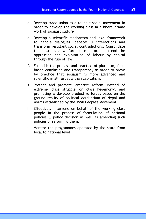- d. Develop trade union as a reliable social movement in order to develop the working class in a liberal frame work of socialist culture
- e. Develop a scientific mechanism and legal framework to handle dialogues, debates & interactions and transform resultant social contradictions. Consolidate the state as a welfare state in order to end the oppression and exploitation of labour by capital through the rule of law.
- f. Establish the process and practice of pluralism, factbased conclusion and transparency in order to prove by practice that socialism is more advanced and scientific in all respects than capitalism.
- g. Protect and promote 'creative reform' instead of extreme 'class struggle' or 'class hegemony', and promoting & develop productive forces based on the ground reality of political equilibrium of Nepal and norms established by the 1990 People's Movement.
- h. Effectively intervene on behalf of the working class people in the process of formulation of national policies & policy decision as well as amending such policies or reforming them.
- i. Monitor the programmes operated by the state from local to national level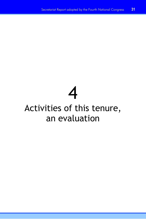# 4

# Activities of this tenure, an evaluation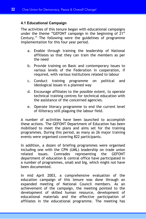#### **4.1 Educational Campaign**

The activities of this tenure began with educational campaigns under the theme "GEFONT campaign in the beginning of  $21^{st}$ Century." The following were the guidelines of programme implementation for this four year period.

- a. Enable through training the leadership of National affiliates so that they can train the members as per the need
- b. Provide training on Basic and contemporary issues to various levels of the Federation in cooperation, if required, with various institutions related to labour
- c. Conduct training programme on political and ideological issues in a planned way
- d. Encourage affiliates to the possible extent, to operate technical training centres for technical education with the assistance of the concerned agencies.
- e. Operate literacy programme to end the current level of illiteracy still plaguing the labour field.

A number of activities have been launched to accomplish these actions. The GEFONT Department of Education has been mobilised to meet the plans and aims set for the training programmes. During this period, as many as 26 major training events were organised covering 822 participants.

In addition, a dozen of briefing programmes were organised including one with the CPN (UML) leadership on trade union related issues. Comrades representing the GEFONT department of education & central office have participated in a number of programmes, small and big, which might not have been documented.

In mid April 2003, a comprehensive evaluation of the education campaign of this tenure was done through an expanded meeting of National Council members. As an achievement of the campaign, the meeting pointed to the development of skilled human resource, development of educational materials and the effective participation of affiliates in the educational programme. The meeting has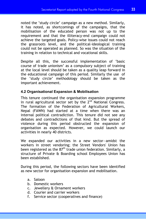noted the 'study circle' campaign as a new method. Similarly, it has noted, as shortcomings of the campaigns, that the mobilisation of the educated person was not up to the requirement and that the illiteracy-end campaign could not achieve the targeted goals. Policy-wise issues could not reach the grassroots level, and the political-ideological training could not be operated as planned. So was the situation of the training in relation to technical and vocational skills.

Despite all this, the successful implementation of 'basic course of trade unionism' as a compulsory subject of training at the local level should be taken as a quality leap forward in the educational campaign of this period. Similarly the use of the 'study circle' methodology should be taken as the important achievement.

#### **4.2 Organisational Expansion & Mobilisation**

This tenure continued the organisation expansion programme in rural agricultural sector set by the 2<sup>nd</sup> National Congress. The formation of the Federation of Agricultural Workers, Nepal (FAWN) had started at a time when there was an internal political contradiction. This tenure did not see any debates and contradictions of that kind. But the spread of violence during this period obstructed the expansion of organisation as expected. However, we could launch our activities in nearly 40 districts.

We expanded our activities in a new sector—amidst the workers in street vendoring; the Street Vendors' Union has been registered as the  $87<sup>th</sup>$  trade union federation. Similarly, a structure of Private & Boarding school Employees Union has been established.

During this period, the following sectors have been identified as new sector for organisation expansion and mobilisation.

- a. Saloon
- b. Domestic workers
- c. Jewellery & Ornament workers
- d. Courier and carrier workers
- f. Service sector (cooperatives and finance)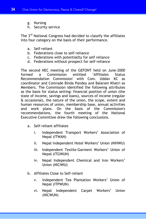- g. Nursing
- h. Security service

The 3<sup>rd</sup> National Congress had decided to classify the affiliates into four category on the basis of their performance.

- a. Self-reliant
- b. Federations close to self-reliance
- c. Federations with potentiality for self reliance
- d. Federations without prospect for self-reliance

The second NEC meeting of the GEFONT held on June-2000 formed a Commission entitled 'Affiliates Status formed a Commission entitled 'Affiliates Status Recommendation Commission' with Com. Uddav KC as coordinator and Comrade Binda Pandey and Balaram Khatri as Members. The Commission identified the following attributes as the basis for status setting: financial position of union (the state of income, savings and loans), sources of income (regular & occasional), the nature of the union, the scope, extent and human resources of union, membership base, annual activities and work plans. On the basis of the Commission's recommendations, the fourth meeting of the National Executive Committee drew the following conclusions.

- a. Self-reliant affiliates
	- i. Independent Transport Workers' Association of Nepal (ITWAN)
	- ii. Nepal Independent Hotel Workers' Union (NIHWU)
	- iii. Independent Textile-Garment Workers' Union of Nepal (ITGWUN)
	- iv. Nepal Independent Chemical and Iron Workers' Union (NICIWU)
- b. Affiliates Close to Self-reliant
	- v. Independent Tea Plantation Workers' Union of Nepal (ITPWUN)
	- vi. Nepal Independent Carpet Workers' Union (NICWUN)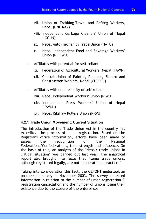- vii. Union of Trekking-Travel and Rafting Workers, Nepal (UNITRAV)
- viii. Independent Garbage Cleaners' Union of Nepal (IGCUN)
- ix. Nepal Auto-mechanics Trade Union (NATU)
- x. Nepal Independent Food and Beverage Workers' Union (NIFBWU)
- c. Affiliates with potential for self-reliant
	- xi. Federation of Agricultural Workers, Nepal (FAWN)
	- xii. Central Union of Painter, Plumber, Electro and Construction Workers, Nepal (CUPPEC)
- d. Affiliates with no possibility of self-reliant
	- xiii. Nepal Independent Workers' Union (NIWU)
	- xiv. Independent Press Workers' Union of Nepal (IPWUN)
	- xv. Nepal Rikshaw Pullers Union (NRPU)

#### **4.2.1 Trade Union Movement: Current Situation**

The introduction of the Trade Union Act in the country has expedited the process of union registration. Based on the Registrar's office information, efforts have been made to assess the recognition of the National Federations/Confederations, their strength and influence. On the basis of this, an analysis of the 'Nepal: trade unions in critical situation' was carried out last year. The analytical report also brought into focus that "some trade unions, although registered legally, are not in operational practice."

Taking into consideration this fact, the GEFONT undertook an on-the-spot survey in November 2003. The survey collected information in relation to the number of union registration & registration cancellation and the number of unions losing their existence due to the closure of the enterprises.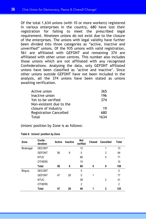Of the total 1,634 unions (with 10 or more workers) registered in various enterprises in the country, 680 have lost their registration for failing to meet the prescribed legal requirement. Nineteen unions do not exist due to the closure of the enterprises. The unions with legal validity have further been divided into three categories as "active, inactive and unverified" unions. Of the 935 unions with valid registration, 561 are affiliated with GEFONT and remaining 374 are affiliated with other union centres. This number also includes those unions which are not affiliated with any recognised Confederations. Analysing the data, only GEFONT affiliated unions have been classified as 'active and inactive'. Since other unions outside GEFONT have not been included in the analysis, all the 374 unions have been stated as unions awaiting verification.

| Active union                  | 365  |
|-------------------------------|------|
| Inactive union                | 196  |
| Yet to be verified            | 374  |
| Non-existent due to the       |      |
| closure of industry           | 19   |
| <b>Registration Cancelled</b> | 680  |
| Total                         | 1634 |

Unions' position by Zone is as follows:

| Zone       | Confe-<br>deration | Active | Inactive | Not<br>verified | Closed | Cancelled | <b>Total</b>   |
|------------|--------------------|--------|----------|-----------------|--------|-----------|----------------|
| Biratnagar | <b>DECONT</b>      |        |          | 12              |        | 1         | 13             |
|            | <b>GEFONT</b>      | 56     | 6        | 0               |        | 2         | 64             |
|            | <b>NTUC</b>        |        |          | 66              |        | 5         | 71             |
|            | <b>OTHERS</b>      |        |          | 10              |        |           | 10             |
|            | <b>Total</b>       | 56     | 6        | 88              | 0      | 8         | 158            |
| Birgunj    | <b>DECONT</b>      |        |          | 5               |        |           | 5              |
|            | <b>GEFONT</b>      | 47     | 29       | 0               | 1      |           | 77             |
|            | <b>NTUC</b>        |        |          | 39              |        | 2         | 41             |
|            | <b>OTHERS</b>      |        |          | $\overline{2}$  |        |           | $\overline{2}$ |
|            | <b>Total</b>       | 47     | 29       | 46              |        | 2         | 125            |

**Table 6: Unions' position by Zone**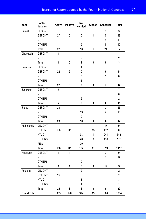| Zone               | Confe-<br>deration | <b>Active</b>  | Inactive | Not<br>verified         | Closed       | Cancelled      | <b>Total</b>   |
|--------------------|--------------------|----------------|----------|-------------------------|--------------|----------------|----------------|
| <b>Butwal</b>      | <b>DECONT</b>      |                |          | 0                       |              | 3              | 3              |
|                    | <b>GEFONT</b>      | 27             | 5        | 0                       | $\mathbf{1}$ | 5              | 38             |
|                    | <b>NTUC</b>        |                |          | 8                       |              | 8              | 16             |
|                    | <b>OTHERS</b>      |                |          | 5                       |              | 5              | 10             |
|                    | Total              | 27             | 5        | 13                      | 1            | 21             | 67             |
| Dhangadhi          | <b>GEFONT</b>      | 1              |          |                         |              |                | 1              |
|                    | <b>NTUC</b>        |                |          | $\sqrt{2}$              |              |                | $\overline{2}$ |
|                    | Total              | 1              | 0        | $\overline{\mathbf{2}}$ | 0            | 0              | 3              |
| Hetauda            | <b>DECONT</b>      |                |          | 1                       |              |                | 1              |
|                    | <b>GEFONT</b>      | 22             | 6        | 0                       |              | 6              | 34             |
|                    | <b>NTUC</b>        |                |          | 7                       |              | $\mathbf{1}$   | 8              |
|                    | <b>OTHERS</b>      |                |          | 1                       |              |                | $\mathbf{1}$   |
|                    | <b>Total</b>       | 22             | 6        | 9                       | 0            | 7              | 44             |
| Janakpur           | <b>GEFONT</b>      | $\overline{7}$ |          |                         |              |                | $\overline{7}$ |
|                    | <b>NTUC</b>        |                |          | 6                       |              |                | 6              |
|                    | <b>OTHERS</b>      |                |          | $\overline{2}$          |              |                | $\overline{2}$ |
|                    | Total              | 7              | 0        | 8                       | 0            | 0              | 15             |
| Jhapa              | <b>GEFONT</b>      | 23             |          |                         |              | 3              | 26             |
|                    | <b>NTUC</b>        |                |          | 13                      |              | $\overline{2}$ | 15             |
|                    | <b>OTHERS</b>      |                |          | 0                       |              | 1              | 1              |
|                    | <b>Total</b>       | 23             | 0        | 13                      | 0            | 6              | 42             |
| Kathmandu          | <b>DECONT</b>      |                |          | 17                      |              | 47             | 64             |
|                    | <b>GEFONT</b>      | 156            | 141      | $\pmb{0}$               | 13           | 192            | 502            |
|                    | <b>NTUC</b>        |                |          | 98                      | 1            | 244            | 343            |
|                    | <b>OTHERS</b>      |                |          | 40                      | 3            | 136            | 179            |
|                    | PE'S               |                |          | 29                      |              |                |                |
|                    | <b>Total</b>       | 156            | 141      | 184                     | 17           | 619            | 1117           |
| Nepalgunj          | <b>GEFONT</b>      | 1              | 1        |                         |              | 7              | 9              |
|                    | <b>NTUC</b>        |                |          | 5                       |              | 9              | 14             |
|                    | <b>OTHERS</b>      |                |          | 0                       |              | 1              | 1              |
|                    | <b>Total</b>       | 1              | 1        | 5                       | 0            | 17             | 24             |
| Pokhara            | <b>DECONT</b>      |                |          | $\overline{2}$          |              |                | $\overline{2}$ |
|                    | <b>GEFONT</b>      | 25             | 8        |                         |              |                | 33             |
|                    | <b>NTUC</b>        |                |          | 3                       |              |                | 3              |
|                    | <b>OTHERS</b>      |                |          | 1                       |              |                | 1              |
|                    | Total              | 25             | 8        | 6                       | 0            | 0              | 39             |
| <b>Grand Total</b> |                    | 365            | 196      | 374                     | 19           | 680            | 1634           |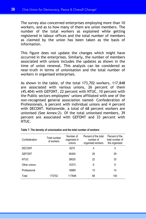The survey also concerned enterprises employing more than 10 workers, and as to how many of them are union members. The number of the total workers as explained while getting registered in labour offices and the total number of members as claimed by the union has been taken as the basis of information.

This figure does not update the changes which might have occurred in the enterprises. Similarly, the number of members associated with unions includes the updates as shown in the time of union renewal. This analysis can be considered as near-truth in terms of unionisation and the total number of workers in organised enterprises.

As shown in the table, of the total 173,702 workers, 117,848 are associated with various unions, 26 percent of them (45,404) with GEFONT, 22 percent with NTUC, 10 percent with the Public sectors employees' unions affiliated with one of the non-recognised general association named- Confederation of Professionals, 6 percent with individual unions and 4 percent with DECONT. Nationwide, a total of 68 percent workers are unionised (See Annex:2). Of the total unionised members, 39 percent are associated with GEFONT and 33 percent with NTUC.

| Confederation | Total number<br>of workers | Number of<br>organised in<br>unions | Percent of the total<br>number of<br>organised workers | Percent of the<br>total number of<br>the organised |
|---------------|----------------------------|-------------------------------------|--------------------------------------------------------|----------------------------------------------------|
| <b>DECONT</b> |                            | 6270                                | 4                                                      | 5                                                  |
| <b>GEFONT</b> |                            | 45404                               | 26                                                     | 39                                                 |
| <b>NTUC</b>   |                            | 39020                               | 22                                                     | 33                                                 |
| Other unions  |                            | 10373                               | 6                                                      | 9                                                  |
| Professional  |                            | 16889                               | 10                                                     | 14                                                 |
| Total         | 173702                     | 117848                              | 68                                                     | 100                                                |

| Table 7: The density of unionisation and the total number of workers |
|----------------------------------------------------------------------|
|----------------------------------------------------------------------|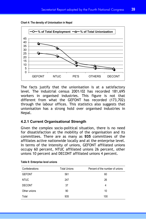



The facts justify that the unionisation is at a satisfactory level. The industrial census 2001/02 has recorded 181,695 workers in organised industries. This figure is not that different from what the GEFONT has recorded (173,702) through the labour offices. This statistics also suggests that unionisation has a strong hold over organised industries in Nepal.

# **4.2.1 Current Organisational Strength**

Given the complex socio-political situation, there is no need for dissatisfaction at the mobility of the organisation and its committees. There are as many as **935** committees of the affiliates active nationwide locally and at the enterprise level. In terms of the intensity of unions, GEFONT affiliated unions occupy 60 percent, NTUC affiliated unions 26 percent, other unions 10 percent and DECONT affiliated unions 4 percent.

| Confederations | <b>Total Unions</b> | Percent of the number of unions |
|----------------|---------------------|---------------------------------|
| <b>GEFONT</b>  | 561                 | 60                              |
| <b>NTUC</b>    | 247                 | 26                              |
| <b>DECONT</b>  | 37                  | 4                               |
| Other unions   | 90                  | 10                              |
| Total          | 935                 | 100                             |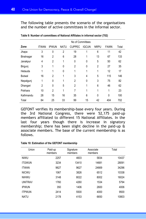The following table presents the scenario of the organisations and the number of active committees in the informal sector.

|               | No of Committees |                |             |                |                |                |             |       |
|---------------|------------------|----------------|-------------|----------------|----------------|----------------|-------------|-------|
| Zone          | <b>ITWAN</b>     | <b>IPWUN</b>   | <b>NATU</b> | <b>CUPPEC</b>  | <b>IGCUN</b>   | <b>NRPU</b>    | <b>FAWN</b> | Total |
| Jhapa         | 3                | 0              | 2           | 19             | 1              | 6              | 11          | 42    |
| Biratnagar    | 16               | 2              | 6           | 28             | 1              | 13             | 67          | 133   |
| Janakpur      | 4                | $\overline{2}$ | 1           | $\mathbf{0}$   | $\mathbf{0}$   | 5              | 50          | 62    |
| Birgunj       | 3                | 1              | 0           | $\overline{2}$ | 0              | $\overline{2}$ | 27          | 35    |
| Hetauda       | 1                | 1              | 0           | 1              | 1              | 1              | 12          | 17    |
| <b>Butwal</b> | 16               | $\overline{2}$ | 1           | 3              | $\overline{4}$ | 5              | 115         | 146   |
| Nepalgunj     | 1                | 0              | 1           | $\overline{2}$ | $\mathbf{0}$   | 3              | 75          | 82    |
| Dhangari      | $\overline{2}$   | $\Omega$       | 5           | $\overline{2}$ | 1              | 6              | 46          | 62    |
| Pokhara       | 10               | $\overline{2}$ | 1           | 7              | 1              | 1              | 1           | 23    |
| Kathmandu     | 28               | 15             | 16          | 35             | 6              | 0              | 0           | 100   |
| Total         | 84               | 25             | 33          | 99             | 15             | 42             | 404         | 702   |

**Table 9: Number of committees of National Affiliates in informal sector (702)** 

GEFONT verifies its membership-base every four years. During the 3rd National Congress, there were 52,175 paid-up members affiliated to different 15 National Affiliates. In the last four years though there is increase in signatory membership; there has been slight decline in the paid-up & associate members. The base of the current membership is as follows.

| Union          | Paid-up<br>members | Signature<br>members | Associate<br>members | Total |
|----------------|--------------------|----------------------|----------------------|-------|
| <b>NIWU</b>    | 2257               | 4603                 | 5834                 | 10437 |
| <b>ITGWUN</b>  | 3234               | 13410                | 14681                | 28091 |
| <b>ITWAN</b>   | 9627               | 9627                 | 24669                | 34296 |
| <b>NICWU</b>   | 1067               | 3826                 | 6512                 | 10338 |
| <b>NIHWU</b>   | 3148               | 8022                 | 8002                 | 16024 |
| <b>UNITRAV</b> | 1760               | 4260                 | 1534                 | 5794  |
| <b>IPWUN</b>   | 350                | 1406                 | 2600                 | 4006  |
| <b>ITPWUN</b>  | 2414               | 5500                 | 4000                 | 9500  |
| <b>NATU</b>    | 2178               | 4153                 | 6650                 | 10803 |

#### **Table 10: Estimation of the GEFONT membership**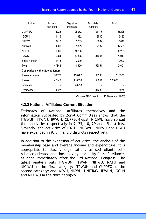| Union                                  | Paid-up<br>members | Signature<br>members | Associate<br>members | Total  |
|----------------------------------------|--------------------|----------------------|----------------------|--------|
| <b>CUPPEC</b>                          | 6228               | 25052                | 31176                | 56228  |
| <b>IGCUN</b>                           | 1116               | 1932                 | 3500                 | 5432   |
| <b>NIFBWU</b>                          | 2210               | 3785                 | 3062                 | 6847   |
| <b>NICIWU</b>                          | 4500               | 5399                 | 12137                | 17536  |
| <b>NRPU</b>                            | 1000               | 10250                | 0                    | 10250  |
| <b>FAWN</b>                            | 5284               | 44325                | 31694                | 76019  |
| <b>Street Vendor</b>                   | 1475               | 3000                 | 0                    | 3000   |
| Total                                  | 47848              | 148550               | 156051               | 304601 |
| <b>Comparison with outgoing tenure</b> |                    |                      |                      |        |
| Previous tenure                        | 52175              | 120292               | 190283               | 310575 |
| Present                                | 47848              | 148550               | 156051               | 304601 |
| Increased                              |                    | 28258                |                      |        |
| Decreased                              | 4327               |                      | 34232                | 5974   |

(Source: NEC meeting of 15 December 2003)

#### **4.2.2 National Affiliates: Current Situation**

Estimates of National affiliates themselves and the information suggested by Zonal Committees shows that the ITGWUN, ITWAN, IPWUN, CUPPEC-Nepal, NICIWU have spread their activities respectively in 9, 23, 10, 29 and 15 districts. Similarly, the activities of NATU, NIFBWU, NIHWU and NIWU have expanded in 9, 5, 4 and 3 districts respectively.

In addition to the expansion of activities, the analysis of the membership base and average income and expenditure, it is appropriate to classify organisations as self-reliant, selfreliance oriented and those having possibility for self-reliance, as done immediately after the 3rd National Congress. The latest analysis puts ITGWUN, ITWAN, NIHWU, NATU and NICIWU in the first category; ITPWUN and CUPPEC in the second category; and, NIWU, NICWU, UNITRAV, IPWUN, IGCUN and NIFBWU in the third category.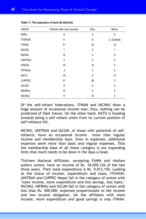| <b>UNION</b>   | Districts with union access | Plus         | Minus          |
|----------------|-----------------------------|--------------|----------------|
| <b>NIWU</b>    | 9                           | 3            | 6              |
| <b>ITGWUN</b>  | 11                          | 9            | 2 (Closed)     |
| <b>ITWAN</b>   | 31                          | 23           | 10             |
| <b>NICWU</b>   | 1                           | $\mathbf{0}$ | 1              |
| <b>NIHWU</b>   | 10                          | 4            | 6              |
| <b>UNITRAV</b> | $\overline{2}$              | 2            | 0              |
| <b>IPWUN</b>   | 15                          | 10           | 5              |
| <b>ITPWUN</b>  | $\overline{2}$              | 0            | 0              |
| <b>NATU</b>    | 19                          | 9            | 10             |
| <b>CUPPEC</b>  | 31                          | 29           | $\overline{2}$ |
| <b>IGCUN</b>   | 8                           | 8            | 0              |
| <b>NIFBWU</b>  | 14                          | 5            | 9              |
| <b>NICIWU</b>  | 17                          | 15           | $\overline{2}$ |

|  | Table 11: The expansion of work (42 districts) |  |  |
|--|------------------------------------------------|--|--|
|--|------------------------------------------------|--|--|

Of the self-reliant federations, ITWAN and NICIWU show a huge amount of occasional income now; thus, nothing can be predicted of their future. On the other hand, NATU is heading towards being a self reliant union from its current position of self-reliance-tilt.

NICWU, UNITRAV and IGCUN, of those with potential of selfreliance, have an occasional income more than regular income and membership dues. Even in expenses, additional expenses seem more than basic and regular expenses. That the membership base of all these category is not expanding hints that much needs to be done in the days a head.

Thirteen National Affiliates, excepting FAWN and rikshaw pullers unions, have an income of Rs. 18,050,126 of the last three years. Their total expenditure is Rs. 9,012,150. Looking at the status of income, expenditure and loans, ITGWUN, UNITRAV and CUPPEC Nepal fall in the category of unions with "more income, more expenditure and less savings, less loans." NICIWU, NIFBWU and IGCUN fall in the category of unions with less than Rs. 500,000, expenses proportionate to the income and low income obligation. On the affiliates with more income, more expenditure and good savings is only ITWAN.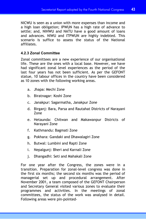NICWU is seen as a union with more expenses than income and a high loan obligation; IPWUN has a high rate of advance to settle; and, NIHWU and NATU have a good amount of loans and advances. NIWU and ITPWUN are highly indebted. This scenario is suffice to assess the status of the National affiliates.

# **4.2.3 Zonal Committee**

Zonal committees are a new experience of our organisational life. These are the ones with a local base. However, we have had significant zonal level experiences as the period of the last four years has not been sufficient. As per the GEFONT statue, 10 labour offices in the country have been considered as 10 zones with the following working areas.

- a. Jhapa: Mechi Zone
- b. Biratnagar: Koshi Zone
- c. Janakpur: Sagarmatha, Janakpur Zone
- d. Birganj: Bara, Parsa and Rautahat Districts of Narayani Zone
- e. Hetaunda: Chitwan and Makawanpur Districts of Narayani Zone
- f. Kathmandu: Bagmati Zone
- g. Pokhara: Gandaki and Dhawalagiri Zone
- h. Butwal: Lumbini and Rapti Zone
- i. Nepalgunj: Bheri and Karnali Zone
- j. Dhangadhi: Seti and Mahakali Zone

For one year after the Congress, the zones were in a transition. Preparation for zonal-level congress was done in the first six months; the second six months was the period of managerial set up and procedural arrangement. After November 2001, a team composed of the GEFONT Chairperson and Secretary General visited various zones to evaluate their programmes and activities. In the meetings of zonal committees, the status of the work was analysed in detail. Following areas were pin-pointed-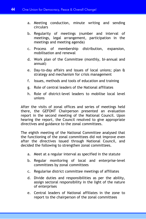- a. Meeting conduction, minute writing and sending circulars
- b. Regularity of meetings (number and interval of meetings, legal arrangement, participation in the meetings and meeting agenda)
- c. Process of membership distribution, expansion, mobilisation and renewal
- d. Work plan of the Committee (monthly, bi-annual and annual)
- e. Day-to-day affairs and issues of local unions; plan & strategy and mechanism for crisis management
- f. Issues, methods and tools of education and training
- g. Role of central leaders of the National affiliates
- h. Role of district-level leaders to mobilise local level unions

After the visits of zonal offices and series of meetings held there, the GEFONT Chairperson presented an evaluation report in the second meeting of the National Council. Upon hearing the report, the Council resolved to give appropriate directives and guidance to the zonal committees.

The eighth meeting of the National Committee analysed that the functioning of the zonal committees did not improve even after the directives issued through National Council, and decided the following to strengthen zonal committees.

- a. Meet at a regular interval as specified in the statute
- b. Regular monitoring of local and enterprise-level committees by zonal committees
- c. Regularise district committee meetings of affiliates
- d. Divide duties and responsibilities as per the ability, assign sectoral responsibility in the light of the nature of enterprises
- e. Central leaders of National affiliates in the zone to report to the chairperson of the zonal committees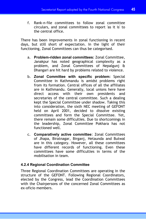f. Rank-n-file committees to follow zonal committee circulars, and zonal committees to report 'as it is' to the central office.

There has been improvements in zonal functioning in recent days, but still short of expectation. In the light of their functioning, Zonal Committees can thus be categorised.

- a. **Problem-ridden zonal committees:** Zonal Committee, Janakpur has noted geographical complexity as a problem, and Zonal Committees of Nepalgunj & Dhangari are hit hard by problems related to violence.
- b. **Zonal Committee with specific problem:** Special Committee in Kathmandu is amidst problems right from its formation. Central offices of all the affiliates are in Kathmandu. Generally, local unions here have direct access with their own presidents and secretaries of the central committee. Such a dealing kept the Special Committee under shadow. Taking this into consideration, the sixth NEC meeting of GEFONT held on April 2001, decided to dissolve existing committees and form the Special Committee. Yet, there remain some difficulties. Due to shortcomings in the leadership, Zonal Committee Pokhara has not functioned well.
- c. **Comparatively active committee**: Zonal Committees of Jhapa, Biratnagar, Birganj, Hetaunda and Butwal are in this category. However, all these committees have different records of functioning. Even these committees have some difficulties in terms of the mobilisation in team.

# **4.2.4 Regional Coordination Committee**

Three Regional Coordination Committees are operating in the structure of the GEFONT. Following Regional Coordinators, elected by the Congress, lead the Coordination Committees with the Chairpersons of the concerned Zonal Committees as ex-oficio members.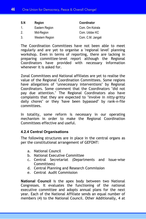| S.N | Region         | Coordinator       |
|-----|----------------|-------------------|
| 1.  | Eastern Region | Com. Om Koirala   |
| 2.  | Mid-Region     | Com. Udday KC     |
| -3. | Western Region | Com. C.M. Jangali |

The Coordination Committees have not been able to meet regularly and are yet to organise a 'regional level' planning workshop. Even in terms of reporting, there are lacking in preparing committee-level report although the Regional Coordinators have provided with necessary information whenever it is asked for.

Zonal Committees and National affiliates are yet to realise the value of the Regional Coordination Committees. Some regions have allegations of "unnecessary interventions" by Regional Coordinators. Some comment that the Coordinators "did not pay due attention." The Regional Coordinators also have complaints that they are expected to "involve in nitty-gritty daily chores" or they 'have been bypassed" by rank-n-file committees.

In totality, some reform is necessary in our operating mechanism in order to make the Regional Coordination Committees effective and useful.

#### **4.2.4 Central Organisations**

The following structures are in place in the central organs as per the constitutional arrangement of GEFONT:

- a. National Council
- b. National Executive Committee
- c. Central Secretariat (Departments and Issue-wise Committees)
- d. Central Planning and Research Commission
- e. Central Audit Commission

**National Council** is the apex body between two National Congresses. It evaluates the functioning of the national executive committee and adopts annual plans for the next year. Each of the National Affiliate sends an equal number of members (4) to the National Council. Other Additionally, 4 at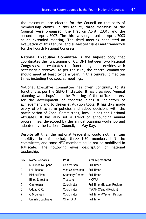the maximum, are elected for the Council on the basis of membership claims. In this tenure, three meetings of the Council were organised: the first on April, 2001, and the second on April, 2002. The third was organised on April, 2003 as an extended meeting. The third meeting conducted an evaluation of this tenure, and suggested issues and framework for the Fourth National Congress.

**National Executive Committee** is the highest body that coordinates the functioning of GEFONT between two National Congresses. It evaluates the functioning and provides with necessary directives. As per the rule, the central committee should meet at least twice a year. In this tenure, it met ten times including two special meetings.

National Executive Committee has given continuity to its functions as per the GEFONT statute. It has organised "Annual planning workshops" and the "Meeting of the office bearers" for the development of concrete plans & indicators of achievement and to design evaluation tools. It has thus made every effort to form policies and adopt decisions with the participation of Zonal Committees, local unions and National Affiliates. It has also set a trend of announcing annual programmes, developed by the annual planning workshop and adopted by the National Council, on May Day.

Despite all this, the national leadership could not maintain stability. In this period, three NEC members left the committee, and some NEC members could not be mobilised in full-scale. The following gives description of national leadership:

| S.N. | Name/Remarks          | Post              | Area represented              |
|------|-----------------------|-------------------|-------------------------------|
| 1.   | Mukunda Neupane       | Chairperson       | <b>Full Timer</b>             |
| 2.   | Lalit Basnet          | Vice Chairperson  | <b>Full Timer</b>             |
| 3.   | <b>Bishnu Rimal</b>   | Secretary General | <b>Full Timer</b>             |
| 4.   | <b>Binod Shrestha</b> | Treasurer         | <b>NICWU</b>                  |
| 5.   | Om Koirala            | Coordinator       | Full Timer (Eastern Region)   |
| 6.   | Udday K. C.           | Coordinator       | <b>ITWAN (Central Region)</b> |
| 7.   | C M Jungali           | Coordinator       | Full Timer (Western Region)   |
| 8.   | Umesh Upadhyaya       | Chief, DFA        | <b>Full Timer</b>             |
|      |                       |                   |                               |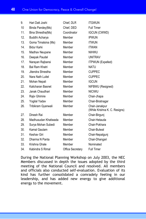| 9.  | Hari Datt Joshi       | Chief, DLR       | <b>ITGWUN</b>                                   |
|-----|-----------------------|------------------|-------------------------------------------------|
| 10  | Binda Pandey(Ms)      | Chief, DED       | <b>Full Timer</b>                               |
| 11. | Bina Shrestha(Ms)     | Coordinator      | <b>IGCUN (CWWD)</b>                             |
| 12. | Buddhi Acharya        | Member           | <b>IPWUN</b>                                    |
| 13. | Goma Timalsina (Ms)   | Member           | <b>ITWUN</b>                                    |
| 14. | Bidur Karki           | Member           | <b>ITWAN</b>                                    |
| 15. | Madhav Neupane        | Member           | <b>NIHWU</b>                                    |
| 16. | Deepak Paudel         | Member           | <b>UNITRAV</b>                                  |
| 17. | Narayan Rajbansi      | Member           | <b>ITPWUN (Expelled)</b>                        |
| 18. | <b>Bal Ram Khatri</b> | Member           | <b>NATU</b>                                     |
| 19. | Jitendra Shrestha     | Member           | <b>CUPPEC</b>                                   |
| 20. | Nara Nath Luitel      | Member           | <b>CUPPEC</b>                                   |
| 21. | Mohan Nepali          | Member           | <b>IGCUN</b>                                    |
| 22. | Kalicharan Basnet     | Member           | NIFBWU (Resigned)                               |
| 23. | Janak Chaudhari       | Member           | <b>NICIWU</b>                                   |
| 24. | Rajiv Ghimire         | Member           | Chair-Jhapa                                     |
| 25. | Yogilal Yadav         | Member           | Chair-Biratnagar                                |
| 26. | Tribikram Gyanwali    | Member           | Chair-Janakpur<br>(While Krishna K. C. Resigns) |
| 27. | Dinesh Rai            | Member           | Chair-Birgunj                                   |
| 28. | Madhusudan Khatiwada  | Member           | Chair-Hetauda                                   |
| 29. | Surya Mohan Subedi    | Member           | Chair-Pokhara                                   |
| 30. | Kamal Gautam          | Member           | Chair-Butwal                                    |
| 31. | Keshav Giri           | Member           | Chair-Nepalgunj                                 |
| 32. | Dharma N Panta        | Member           | Chair-Dhangari                                  |
| 33. | Krishna Ghale         | Member           | Nominated                                       |
| 34. | Kabindra S Rimal      | Office Secretary | <b>Full Timer</b>                               |

During the National Planning Workshop on July 2003, the NEC Members discussed in depth the issues adopted by the third meeting of the National Council and resolved. All members and officials also conducted self-evaluation. Evaluation of its kind has further consolidated a comradely feeling in our leadership, and has added new energy to give additional energy to the movement.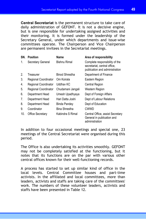**Central Secretariat** is the permanent structure to take care of daily administration of GEFONT. It is not a decisive engine, but is one responsible for undertaking assigned activities and their monitoring. It is formed under the leadership of the Secretary General, under which departments and issue-wise committees operate. The Chairperson and Vice Chairperson are permanent invitees in the Secretariat meetings.

| SN. | <b>Position</b>             | Name                  | Area of responsibility                                                                           |
|-----|-----------------------------|-----------------------|--------------------------------------------------------------------------------------------------|
| 1.  | Secretary General           | Bishnu Rimal          | Complete responsibility of the<br>secretariat, central office,<br>publication and administration |
| 2.  | Treasurer                   | <b>Binod Shrestha</b> | Department of Finance                                                                            |
| 3.  | Regional Coordinator        | Om Koirala            | Eastern Region                                                                                   |
| 4.  | Regional Coordinator        | Uddhav KC             | <b>Central Region</b>                                                                            |
| 5.  | <b>Regional Coordinator</b> | Chudamani Jangali     | Western Region                                                                                   |
| 6.  | Department Head             | Umesh Upadhyaya       | Dept of Foreign Affairs                                                                          |
| 7.  | Department Head             | Hari Datta Joshi      | Dept of Labour Relations                                                                         |
| 8.  | Department Head             | Binda Pandey          | Dept of Education                                                                                |
| 9.  | Coordinator                 | Bina Shrestha         | CWWD                                                                                             |
| 10. | <b>Office Secretary</b>     | Kabindra S Rimal      | Central Office, assist Secretary<br>General in publication and<br>administration                 |

In addition to four occasional meetings and special one, 23 meetings of the Central Secretariat were organised during this period.

The Office is also undertaking its activities smoothly. GEFONT may not be completely satisfied at the functioning, but it notes that its functions are on the par with various other central offices known for their well-functioning records.

A process has started to set up similar kind of office in the local levels. Central Committee houses and part-time activists. In the affiliated and local committees, more than leaders, activists and staffs are taking care of the committees' work. The numbers of these volunteer leaders, activists and staffs have been presented in Table 12.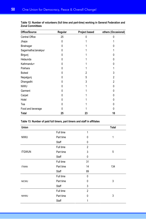| Office/Source       | Regular | Project based  | others (Occasional) |
|---------------------|---------|----------------|---------------------|
| Central Office      | 25      | N              |                     |
| Jhapa               | 0       |                |                     |
| Biratnagar          | 0       |                | N                   |
| Sagarmatha/Janakpur | 0       |                |                     |
| Birgunj             | U       |                | N                   |
| Hetaunda            | U       |                | N                   |
| Kathmandu+          | 0       |                | 0                   |
| Pokhara             | 0       |                |                     |
| <b>Butwal</b>       | 0       | $\overline{2}$ | 3                   |
| Nepalgunj           | 0       | 5              | 2                   |
| Dhangadhi           | U       | 3              | $\overline{2}$      |
| <b>NIWU</b>         | 0       |                | 0                   |
| Garment             | U       |                | 0                   |
| Carpet              | U       |                | 0                   |
| Hotel               | 0       |                | 0                   |
| Tea                 | 0       |                | 0                   |
| Food and beverage   | U       |                | 0                   |
| <b>Total</b>        | 25      | 23             | 10                  |

**Table 12: Number of volunteers (full time and part-time) working in General Federation and Zonal Committees** 

#### **Table 13: Number of paid full timers, part timers and staff in affiliates**

| Union         |           |                | <b>Total</b> |
|---------------|-----------|----------------|--------------|
|               | Full time | 1              |              |
| <b>NIWU</b>   | Part time | 0              | 1            |
|               | Staff     | 0              |              |
|               | Full time | $\overline{2}$ |              |
| <b>ITGWUN</b> | Part time | 3              | 5            |
|               | Staff     | 0              |              |
|               | Full time | 31             |              |
| <b>ITWAN</b>  | Part time | 14             | 134          |
|               | Staff     | 89             |              |
|               | Full time | 0              |              |
| <b>NICWU</b>  | Part time | 0              | 3            |
|               | Staff     | 3              |              |
|               | Full time | $\overline{2}$ |              |
| NIHWU         | Part time | $\mathbf{0}$   | 3            |
|               | Staff     | 1              |              |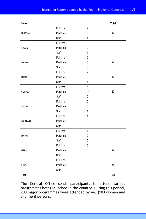| Union          |           |                                                                                                                                                                                                                                                                                                       | <b>Total</b> |
|----------------|-----------|-------------------------------------------------------------------------------------------------------------------------------------------------------------------------------------------------------------------------------------------------------------------------------------------------------|--------------|
|                | Full time | $\mathbf{2}$                                                                                                                                                                                                                                                                                          |              |
| <b>UNITRAV</b> | Part time | 0                                                                                                                                                                                                                                                                                                     | 6            |
|                | Staff     | $\overline{4}$<br>0<br>0<br>1<br>$\mathbf{1}$<br>0<br>0<br>0<br>0<br>$\sqrt{2}$<br>6<br>0<br>$\overline{4}$<br>5<br>22<br>17<br>0<br>0<br>1<br>0<br>1<br>$\mathbf{1}$<br>$\mathbf{1}$<br>0<br>0<br>$\mathbf{1}$<br>$\mathbf{1}$<br>$\mathbf 0$<br>0<br>0<br>0<br>0<br>0<br>$\mathbf 0$<br>0<br>0<br>0 |              |
|                | Full time |                                                                                                                                                                                                                                                                                                       |              |
| <b>IPWUN</b>   | Part time |                                                                                                                                                                                                                                                                                                       |              |
|                | Staff     |                                                                                                                                                                                                                                                                                                       |              |
|                | Full time |                                                                                                                                                                                                                                                                                                       |              |
| <b>ITPWUN</b>  | Part time |                                                                                                                                                                                                                                                                                                       |              |
|                | Staff     |                                                                                                                                                                                                                                                                                                       |              |
|                | Full time |                                                                                                                                                                                                                                                                                                       |              |
| <b>NATU</b>    | Part time |                                                                                                                                                                                                                                                                                                       |              |
|                | Staff     |                                                                                                                                                                                                                                                                                                       |              |
| <b>CUPPEC</b>  | Full time |                                                                                                                                                                                                                                                                                                       |              |
|                | Part time |                                                                                                                                                                                                                                                                                                       |              |
|                | Staff     |                                                                                                                                                                                                                                                                                                       |              |
|                | Full time |                                                                                                                                                                                                                                                                                                       |              |
| <b>IGCUN</b>   | Part time |                                                                                                                                                                                                                                                                                                       |              |
|                | Staff     |                                                                                                                                                                                                                                                                                                       |              |
|                | Full time |                                                                                                                                                                                                                                                                                                       |              |
| NIFBWU         | Part time |                                                                                                                                                                                                                                                                                                       |              |
|                | Staff     |                                                                                                                                                                                                                                                                                                       |              |
|                | Full time |                                                                                                                                                                                                                                                                                                       |              |
| NICIWU         | Part time |                                                                                                                                                                                                                                                                                                       |              |
|                | Staff     |                                                                                                                                                                                                                                                                                                       |              |
|                | Full time |                                                                                                                                                                                                                                                                                                       |              |
| <b>NRPU</b>    | Part time |                                                                                                                                                                                                                                                                                                       |              |
|                | Staff     |                                                                                                                                                                                                                                                                                                       |              |
|                | Full time |                                                                                                                                                                                                                                                                                                       |              |
| <b>FAWN</b>    | Part time |                                                                                                                                                                                                                                                                                                       |              |
|                | Staff     |                                                                                                                                                                                                                                                                                                       |              |
| <b>Total</b>   |           |                                                                                                                                                                                                                                                                                                       | 184          |

The Central Office sends participants to attend various programmes being launched in the country. During this period, 200 major programmes were attended by 448 (103 women and 345 men) persons.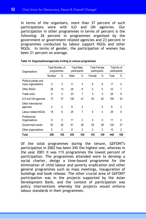In terms of the organisers, more than 37 percent of such participations were with ILO and UN agencies. Our participation in other programmes in terms of percent is the following: 26 percent in programmes organised by the government or government related agencies and 23 percent in programmes conducted by labour support NGOs and other NGOs. In terms of gender, the participation of women has been 21 percent on average.

| Organisations                               | Total Number of<br>programmes |                | <b>Total Male</b><br>participants |                | <b>Total Female</b><br>participants |                | Total No of<br>participants |                |
|---------------------------------------------|-------------------------------|----------------|-----------------------------------|----------------|-------------------------------------|----------------|-----------------------------|----------------|
|                                             | Number                        | %              | Male                              | %              | Female                              | $\%$           | Total                       | $\%$           |
| Political parties and<br>mass organisations | 5                             | 3              | 11                                | 3              | 6                                   | 6              | 17                          | 4              |
| Other NGOs                                  | 28                            | 14             | 28                                | 8              | 5                                   | 5              | 33                          | 7              |
| Trade union                                 | 6                             | 3              | 23                                | 7              | 3                                   | 3              | 26                          | 6              |
| ILO and UN agencies                         | 73                            | 37             | 140                               | 41             | 54                                  | 52             | 194                         | 43             |
| Other international<br>agencies             | 4                             | $\overline{2}$ | 8                                 | $\overline{2}$ |                                     | 0              | 8                           | $\overline{2}$ |
| Labour related NGOs                         | 18                            | 9              | 25                                | 7              | 4                                   | 4              | 29                          | 6              |
| Professional<br>Organisations               | 9                             | 5              | 11                                | 3              | $\Omega$                            | 0              | 11                          | $\overline{2}$ |
| Government sector                           | 52                            | 26             | 91                                | 26             | 29                                  | 28             | 120                         | 27             |
| Other organisations                         | 5                             | 3              | 8                                 | $\overline{2}$ | $\overline{2}$                      | $\overline{2}$ | 10                          | $\overline{2}$ |
| Total                                       | 200                           | 100            | 345                               | 100            | 103                                 | 100            | 448                         | 100            |

| Table 14: Organisations/agencies inviting to various programmes |
|-----------------------------------------------------------------|
|-----------------------------------------------------------------|

Of the total programmes during the tenure, GEFONT's participation in 2002 has been 34% the highest one, whereas in the year 2001 it was 11% programmes the lowest percent of participation. The programmes attended were to develop a social charter, design a time-bound programme for the elimination of child labour and poverty eradication and other general programmes such as mass meetings, inauguration of buildings and book release. The other crucial area of GEFONT participation was in the projects supported by the Asian Development Bank, and the context of participation was policy interventions whereby the projects would enforce labour standards in their programmes.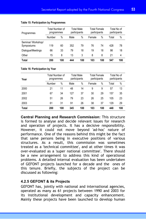| Table 15. Participation by Programmes |  |  |
|---------------------------------------|--|--|
|                                       |  |  |

| Programmes                       | Total Number of<br>programmes |      | Total Male<br>participants |     | Total Female<br>participants |      | Total No of<br>participants |      |
|----------------------------------|-------------------------------|------|----------------------------|-----|------------------------------|------|-----------------------------|------|
|                                  | Number                        | $\%$ | Male                       | %   | Female                       | $\%$ | Total                       | $\%$ |
| Seminar/ Workshop/<br>Symposiums | 119                           | 60   | 352                        | 79  | 76                           | 74   | 428                         | 78   |
| Dialogue/Meetings                | 66                            | 33   | 79                         | 18  | 19                           | 18   | 98                          | 18   |
| Other                            | 15                            | 8    | 13                         | 3   | 8                            | 8    | 21                          | 4    |
| <b>Total</b>                     | 200                           | 100  | 444                        | 100 | 103                          | 100  | 547                         | 100  |

#### **Table 16: Participation by Year**

**Table 15: Participation by Programmes** 

| Year         | Total Number of<br>programmes |      | <b>Total Male</b><br>participants |      | <b>Total Female</b><br>participants |     | Total No of<br>participants |     |
|--------------|-------------------------------|------|-----------------------------------|------|-------------------------------------|-----|-----------------------------|-----|
|              | Number                        | $\%$ | Male                              | $\%$ | Female                              | %   | Total                       | %   |
| 2000         | 21                            | 11   | 48                                | 14   | 9                                   | 9   | 57                          | 13  |
| 2001         | 67                            | 34   | 127                               | 37   | 30                                  | 29  | 157                         | 35  |
| 2002         | 51                            | 26   | 79                                | 23   | 26                                  | 25  | 105                         | 23  |
| 2003         | 61                            | 31   | 91                                | 26   | 38                                  | 37  | 129                         | 29  |
| <b>Total</b> | 200                           | 100  | 345                               | 100  | 103                                 | 100 | 448                         | 100 |

**Central Planning and Research Commission:** This structure is formed to analyse and decide relevant issues for research and operation of projects. It has a decisive responsibility. However, it could not move beyond 'ad-hoc' nature of performance. One of the reasons behind this might be the fact that same persons being in executive positions of various structures. As a result, this commission was sometimes treated as a 'technical committee', and at other times it was over-evaluated as a 'super national committee'. There should be a new arrangement to address this kind of operational problems. A detailed internal evaluation has been undertaken of GEFONT projects launched for a decade and the ones of this tenure. Briefly, the subjects of the project can be discussed as following:

#### **4.2.5 GEFONT & its Projects**

GEFONT has, jointly with national and international agencies, operated as many as 61 projects between 1990 and 2003 for its institutional development and capacity enhancement. Mainly these projects have been launched to develop human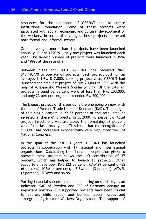resources for the operation of GEFONT and to create institutional foundation. Some of these projects were associated with social, economic and cultural development of the workers. In terms of coverage, these projects addressed both formal and informal sectors.

On an average, more than 4 projects have been launched annually. But in 1990/91, only one project was launched each year. The largest number of projects were launched in 1996 and 1999, at the rate of 9.

Between 1990 and 2003, GEFONT has received NRs. 51,119,770 to operate 61 projects. Each project cost, on an average, is NRs. 817,000. Looking project wise, GEFONT had launched the smallest project of NRs 20,000 in 1990 with the help of Asia-pacific Workers Solidarity Link. Of the total 61 projects, around 52 percent were of less than NRs 200,000, and only 23 percent projects exceeded Rs. 500,000.

The biggest project of this period is the one going on now with the help of Women Trade Union of Denmark (KAD). The budget of this single project is 22.23 percent of the total amount invested in these 61 projects. Until 2000, 43 percent of total project investment was available, the remaining 53 percent was of the last three years. This hints that the recognition of GEFONT has increased exponentially very high after the 3rd National Congress.

In the span of the last 13 years, GEFONT has launched projects in cooperation with 17 national and international organisations. Calculating the financial cooperation given to operate these projects shows the ILO contribution of 37 percent, which has helped to launch 18 projects. Other supporters have been KAD (23 percent), CAW (9 percent), FES (6 percent), ICEM (4 percent), LIF-Sweden (3 percent), APWSL (2 percent), IFBWW and so on.

Putting financial support aside and counting on solidarity as an indicator, SAC of Sweden and FES of Germany occupy an important position. ILO supported projects have been crucial to address child labour and bonded labour issues and strengthen Agriculture Workers Organisation. The support of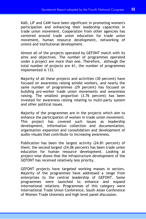KAD, LIF and CAW have been significant in promoting women's participation and enhancing their leadership capacities in trade union movement. Cooperation from other agencies has centered around trade union education for trade union movement, human resource development, networking of unions and institutional development.

Almost all of the projects operated by GEFONT match with its aims and objectives. The number of programmes operated under a project are more than one. Therefore, although the total number of projects are 61, the number of programmes implemented is 133.

Majority of all these projects and activities (30 percent) have focused on awareness raising amidst workers, and nearly the same number of programmes (29 percent) has focused on building pro-worker trade union movements and awareness raising. The smallest proportion (3.76 percent) has been invested for awareness raising relating to multi-party system and other political issues.

Majority of the programmes are in the projects which aim to enhance the participation of women in trade union movement. This project has covered such issues as leadership development, information collection and documentation, organisation expansion and consolidation and development of audio-visuals that contribute to increasing awareness.

Publication has been the largest activity (24.81 percent) of them; the second largest (24.06 percent) has been trade union education for human resource development. Looking at project-wise shows that the infrastructure development of the GEFONT has received relatively less priority.

GEFONT projects have targeted working masses in sectors. Majority of the programmes have addressed a range from enterprises to the central leadership of GEFONT. Some programmes were launched to enhance and expand international relations. Programmes of this category were International Trade Union Conference, South Asian Conference of Women Trade Unionists and high level panel discussion.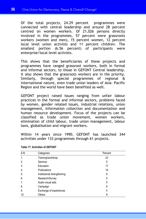Of the total projects, 24.29 percent programmes were connected with central leadership and around 28 percent centred on women workers. Of 21,026 persons directly involved in the programmes, 57 percent were grassroots workers (women and men), 15 percent women, 12 percent local level union activists and 11 percent children. The smallest portion (6.56 percent) of participants were enterprise/local level activists.

This shows that the beneficiaries of these projects and programmes have ranged grassroot workers, both in formal and informal sectors, to those in GEFONT Central leadership. It also shows that the grassroots workers are in the priority. Similarly, through special programmes of regional & international nature, even trade union leaders of Asia- Pacific Region and the world have been benefited as well.

GEFONT project raised issues ranging from unfair labour practices in the formal and informal sectors, problems faced by women, gender related issues, industrial relations, union management, information collection and documentation and human resource development. Focus of the projects can be classified as trade union movement, women workers, elimination of child labour, trade union management, labour laws, globalisation and migrant workers.

Within 14 years since 1990, GEFONT has launched 344 activities under 133 programmes through 61 projects.

| S.N | Categories                  | Percent |
|-----|-----------------------------|---------|
| 1.  | Training/workshop           | 23      |
| 2.  | Seminar                     | 5       |
| 3.  | Education                   | 17      |
| 4.  | <b>Publications</b>         | 16      |
| 5.  | Institutional strengthening | 9       |
| 6.  | Research/Survey             | 5       |
| 7.  | Audio-visual aids           | 4       |
| 8.  | Campaign                    | 9       |
| 9.  | Exchange of experiences     | 4       |
| 10. | Others                      | 8       |

**Table 17: Activities of GEFONT**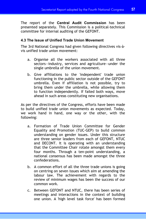The report of the **Central Audit Commission** has been presented separately. This Commission is a political-technical committee for internal auditing of the GEFONT.

#### **4.3 The Issue of Unified Trade Union Movement**

The 3rd National Congress had given following directives vis-àvis unified trade union movement:

- a. Organise all the workers associated with all three sectors—industry, services and agriculture—under the single umbrella of the union movement.
- b. Give affiliations to the 'independent' trade union functioning in the public sector outside of the GEFONT umbrella. Even if affiliation is not possible, try to bring them under the umbrella, while allowing them to function independently. If failed both ways, move ahead in such areas constituting new organisations.

As per the directives of the Congress, efforts have been made to build unified trade union movements as expected. Today, we work hand in hand, one way or the other, with the following:

- a. Formation of Trade Union Committee for Gender Equality and Promotion (TUC-GEP) to build common understanding on gender issues. Under this structure are three senior leaders from each of GEFONT, NTUC and DECONT. It is operating with an understanding that the Committee Chair rotate amongst them every four months. Through a ten-point understanding, a national consensus has been made amongst the three confederations.
- b. A common effort of all the three trade unions is going on centring on seven issues which aim at amending the labour law. The achievement with regards to the review of minimum wages has been the success of our common work.
- c. Between GEFONT and NTUC, there has been series of meetings and interactions in the context of building one union. A 'high level task force' has been formed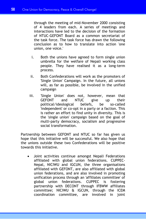through the meeting of mid-November 2000 consisting of 4 leaders from each. A series of meetings and interactions have led to the decision of the formation of NTUC-GEFONT Board as a common secretariat of the task force. The task force has drawn the following conclusion as to how to translate into action 'one union, one voice.'

- i. Both the unions have agreed to form single union umbrella for the welfare of Nepali working class people. They have realised it as a long-term process.
- ii. Both Confederations will work as the promoters of 'Single Union' Campaign. In the future, all unions will, as far as possible, be involved in the unified campaign
- iii. 'Single Union' does not, however, mean that GEFONT and NTUC give up their political/ideological beliefs, be so-called 'independent' or co-opt in a party or a faction. This is rather an effort to find unity in diversity. This is the 'single union' campaign based on the goal of multi-party democracy, socialism and progressive social transformation.

Partnership between GEFONT and NTUC so far has given us hope that this initiative will be successful. We also hope that the unions outside these two Confederations will be positive towards this initiative.

Joint activities continue amongst Nepali Federations affiliated with global union federations. CUPPEC-Nepal, NICIWU and IGCUN, the three organisations affiliated with GEFONT, are also affiliated with global union federations, and are also involved in promoting unification process through an 'affiliates committee' of global union federations. CUPPEC is fostering partnership with DECONT through IFBWW affiliates committee; NICIWU & IGCUN, through the ICEM coordination committee, are involved in joint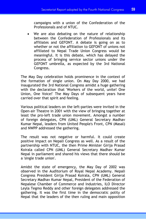campaigns with a union of the Confederation of the Professionals and of NTUC.

We are also debating on the nature of relationship between the Confederation of Professionals and its affiliates and GEFONT. A debate is going on as to whether or not the affiliation to GEFONT of unions not affiliated to Nepal Trade Union Congress would be meaningful. It is this debate, which has delayed the process of bringing service sector unions under the GEFONT umbrella, as expected by the 3rd National Congress.

The May Day celebration holds prominence in the context of the formation of single union. On May Day 2000, we had inaugurated the 3rd National Congress amidst a huge gathering with the declaration that 'Workers of the world, unite! One Union, One Voice!' The May Days of subsequent years have carried over that spirit and feeling.

Various political leaders on the left-parties were invited in the Open-air Theatre in 2001 with the view of bringing together at least the pro-left trade union movement. Amongst a number of foreign delegates, CPN (UML) General Secretary Madhav Kumar Nepal, leaders from United People's Front, CPN (Masal) and NWPP addressed the gathering.

The result was not negative or harmful. It could create positive impact on Nepali Congress as well. As a result of the partnership with NTUC, the then Prime Minister Girija Prasad Koirala called CPN (UML) General Secretary Madhav Kumar Nepal in parliament and shared his views that there should be a 'single trade union'.

Amidst the state of emergency, the May Day of 2002 was observed in the Auditorium of Royal Nepal Academy. Nepali Congress President Girija Prasad Koirala, CPN (UML) General Secretary Madhav Kumar Nepal, President of the Federation of Nepalese Chamber of Commerce and Industries, ILO Director Leyla Tegmo Reddy and other foreign delegates addressed the gathering. It was the first time in the democratic polity of Nepal that the leaders of the then ruling and main opposition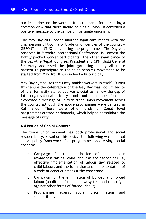parties addressed the workers from the same forum sharing a common view that there should be 'single union.' It convened a positive message to the campaign for single unionism.

The May Day-2003 added another significant record with the chairpersons of two major trade union centres of the country— GEFONT and NTUC—co-chairing the programmes. The Day was observed in Birendra International Conference Hall amidst the tightly packed worker participants. The other significance of the Day—the Nepali Congress President and CPN (UML) General Secretary addressed the joint gathering calling all those present to participate in the joint people's movement to be started from May 3rd. It was indeed a historic day.

May Day symbolizes the unity amidst workers in itself. During this tenure the celebration of the May Day was not limited to official formality alone, but was crucial to narrow the gap of inter-organisational rivalry and unfair competitions. It expressed a message of unity in trade union movement across the country although the above programmes were centred in Kathmandu. There were other kinds of Zonal level programmes outside Kathmandu, which helped consolidate the message of unity.

#### **4.4 Issues of Social Concern**

The trade union moment has both professional and social responsibility. Based on this policy, the following was adopted as a policy-framework for programmes addressing social concerns.

- a. Campaign for the elimination of child labour (awareness raising, child labour as the agenda of CBA, effective implementation of labour law related to child labour, and the formation and implementation of a code of conduct amongst the concerned).
- b. Campaign for the elimination of bonded and forced labour (abolition of the kamaiya system and campaigns against other forms of forced labour)
- c. Programmes against social discrimination and superstitions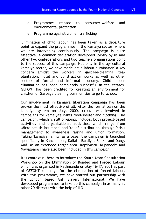- d. Programmes related to consumer-welfare and environmental protection
- e. Programme against women trafficking

'Elimination of child labour' has been taken as a departure point to expand the programmes in the kamaiya sector, where we are intervening continuously. The campaign is quite effective. A common declaration developed jointly by us and other two confederations and two teachers organisations point to the success of this campaign. Not only in the agricultural kamaiya sector, we have made 'child labour elimination' a key concern amidst the workers in garbage-cleaning, teaplantation, hotel and construction works as well as other sectors of formal and informal economy. Child labour elimination has been completely successful in tea estates. GEFONT has been credited for creating an environment for children of Garbage cleaning communities to go to school.

Our involvement in kamaiya liberation campaign has been proven the most effective of all. After the formal ban on the kamaiya system on July, 2000, GEFONT was involved in campaigns for kamaiya's rights food-shelter and clothing. The campaign, which is still on-going, includes both project-based activities and organisational activities, which range from 'Micro-health insurance' and 'relief distribution' through 'crisis management' to awareness raising and union formation. Taking 'kamaiya family' as a base, the campaign is launched specifically in Kanchanpur, Kailali, Bardiya, Banke and Dang. And, as an extended target area, Kapilvastu, Rupandehi and Nawalparasi have also been included in this campaign.

It is contextual here to introduce the 'South Asian Consultation Workshop on the Elimination of Bonded and Forced Labour' which was organised in Kathmandu on May 16-17, 2001 as part of GEFONT campaign for the elimination of forced labour. With this programme, we have started our partnership with the London based Anti Slavery International. We have developed programmes to take up this campaign in as many as other 20 districts with the help of ILO.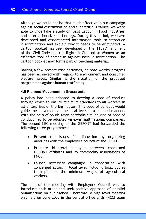Although we could not be that much effective in our campaign against social discrimination and superstitious values, we were able to undertake a study on 'Dalit Labour in Food Industries' and internationalize its findings. During this period, we have developed and disseminated information tools to introduce 'discrimination' and explain why it needs to be eliminated. A cartoon booklet has been developed on the '11th Amendment of the Civil Code and the Rights it Granted to Women' as an effective tool of campaign against social discrimination. The cartoon booklet now forms part of teaching material.

Barring a few project-wise activities, no note-worthy progress has been achieved with regards to environment and consumer welfare issues. Similar is the situation of the proposed programmes against human trafficking.

# **4.5 Planned Movement in Grassroots**

A policy had been adopted to develop a code of conduct through which to ensure minimum standards to all workers in all enterprises of the big houses. This code of conduct would guide the movement at the local level in a planned manner. With the help of South Asian networks similar kind of code of conduct had to be adopted vis-à-vis multinational companies. The second NEC meeting of the GEFONT had forwarded the following three programmes:

- Present the issues for discussion by organizing meetings with the employer's council of the FNCCI
- Promote bi-lateral dialogue between concerned GEFONT affiliates and 25 commodity associations of **FNCCI**
- Launch necessary campaigns in cooperation with concerned actors in local level including local bodies to implement the minimum wages of agricultural workers.

The aim of the meeting with Employer's Council was to introduce each other and seek positive approach of parallel organisations on our agenda. Therefore, a high level meeting was held on June 2000 in the central office with FNCCI team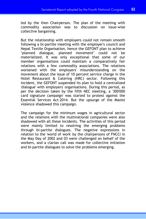led by the then Chairperson. The plan of the meeting with commodity association was to discussion on issue-wise collective bargaining.

But the relationship with employers could not remain smooth following a bi-partite meeting with the employer's council and Nepal Textile Organisation, hence the GEFONT plan to achieve "planned dialogue, planned movement" could not be materialized. It was only exceptional that some of our member organisations could maintain a comparatively fair relations with a few commodity associations. The relations worsened with the employers' misunderstanding on the movement about the issue of 10 percent service charge in the Hotel Restaurant & Catering (HRC) sector. Following this incident, the GEFONT suspended its plan to hold a centralized 'dialogue' with employers' organisations. During this period, as per the decision taken by the fifth NEC meeting, a '300'000 card signature campaign' was started to protest against the Essential Services Act-2014. But the upsurge of the Maoist violence shadowed this campaign.

The campaign for the minimum wages in agricultural sector and the relations with the multinational companies were also shadowed with all these incidents. The activities of this period were mainly limited to resolving the emerging problems through bi-partite dialogues. The negative expressions in relation to the 'world of work' by the chairpersons of FNCCI in the May Day of 2002 and 03 were challenged on behalf of the workers, and a clarian call was made for collective initiation and bi-partite dialogues to solve the problems emerging.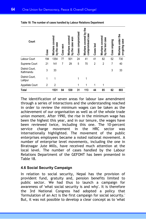| Court                        | Case | covered<br>by the case<br>Workers | Case won | Workers covered<br>by the case won | Cases compromised | Workers covered by the<br>case<br>compromised | Cases lost | Workers covered<br>by the lost case | Case ongoing | underthe<br>case<br>on-going<br>Workers |
|------------------------------|------|-----------------------------------|----------|------------------------------------|-------------------|-----------------------------------------------|------------|-------------------------------------|--------------|-----------------------------------------|
| Labour Court                 | 194  | 1354                              | 77       | 501                                | 24                | 41                                            | 41         | 82                                  | 52           | 730                                     |
| Supreme Court                | 21   | 141                               | 7        | 29                                 | 5                 | 70                                            | 2          | 2                                   | 7            | 40                                      |
| District Court,<br>Kathmandu | 3    | 33                                |          |                                    |                   |                                               |            |                                     | 3            | 33                                      |
| District Court,<br>Lalitpur  | 1    | 1                                 |          |                                    | 1                 | 1                                             |            |                                     |              |                                         |
| Appellate Court              | 2    | $\overline{2}$                    |          |                                    | 1                 | 1                                             | 1          | 1                                   |              |                                         |
| <b>Total</b>                 |      | 1531                              | 84       | 530                                | 31                | 113                                           | 44         | 85                                  | 62           | 803                                     |

#### **Table 18: The number of cases handled by Labour Relations Department**

The identification of seven areas for labour law amendment through a series of interactions and the understanding reached in order to review the minimum wages can be taken as the achievement of our organisation as well as of the whole trade union moment. After 1990, the rise in the minimum wage has been the highest this year, and in our tenure, the wages have been reviewed twice, including this one. The 10-percent service charge movement in the HRC sector was internationally highlighted. The movement of the public enterprises employees became a noted national movement. A number of enterprise level movements, including the one in Biratnagar Jute Mills, have received much attention at the local level. The number of cases handled by the Labour Relations Department of the GEFONT has been presented in Table 18.

# **4.6 Social Security Campaign**

In relation to social security, Nepal has the provision of provident fund, gratuity and, pension benefits limited to public sector. We had thus to launch a campaign for awareness of 'what social security is and why'. It is therefore the 3rd National Congress had adopted a policy that 'formulation of an Act is the first campaign for social security.' But, it was not possible to develop a clear concept as to 'what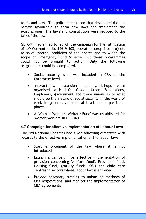to do and how.' The political situation that developed did not remain favourable to form new laws and implement the existing ones. The laws and constitution were reduced to the talk of the town.

GEFONT had aimed to launch the campaign for the ratification of ILO Convention No 156 & 103, operate appropriate projects to solve internal problems of the cadres and to widen the scope of Emergency Fund Scheme. But these programmes could not be brought to action. Only the following programmes could be completed.

- Social security issue was included in CBA at the Enterprise level.
- Interactions, discussions and workshops were organised with ILO, Global Union Federations, Employers, government and trade unions as to what should be the 'nature of social security' in the world of work in general, at sectoral level and a particular places.
- A 'Woman Workers' Welfare Fund' was established for 'women workers' in GEFONT

# **4.7 Campaign for effective implementation of Labour Laws**

The 3rd National Congress had given following directives with regards to the effective implementation of the labour laws.

- Start enforcement of the law where it is not introduced
- Launch a campaign for effective implementation of provision concerning 'welfare fund', Provident fund, Housing fund, gratuity funds, OSH and child care centres in sectors where labour law is enforced.
- Provide necessary training to unions on methods of CBA negotiations, and monitor the implementation of CBA agreements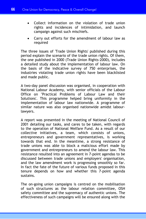- Collect information on the violation of trade union rights and incidences of intimidation, and launch campaign against such mischiefs.
- Carry out efforts for the amendment of labour law as required

The three issues of 'Trade Union Rights' published during this period explain the scenario of the trade union rights. Of them, the one published in 2000 (Trade Union Rights-2000), includes a detailed study about the implementation of labour law. On the basis of the indicative survey of 750 enterprises, the industries violating trade union rights have been blacklisted and made public.

A two-day panel discussion was organised, in cooperation with National Labour Academy, with senior officials of the Labour Office on "Practical Problems of Labour Law and their Solutions'. This programme helped bring uniformity in the implementation of labour law nationwide. A programme of similar nature was also organised nationwide amidst labourlawyers.

A report was presented in the meeting of National Council of 2001 detailing our tasks, and cares to be taken, with regards to the operation of National Welfare Fund. As a result of our collective initiatives, a team, which consists of unions, entrepreneurs and government representatives, is working towards that end. In the meantime, a strong resistance of trade unions was able to block a malicious effort made by government and entrepreneurs to amend the labour law. This resistance resulted into an agreement in 7-point agendas to be discussed between trade unions and employers' organisation, and the law amendment work is progressing smoothly so far. In fact the fate of the future of various funds proposed in this tenure depends on how and whether this 7-point agenda sustains.

The on-going union campaigns is centred on the mobilisation of such structures as the labour relation committee, OSH safety committee and the supremacy of authentic unions. The effectiveness of such campaigns will be ensured along with the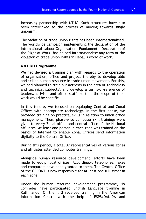increasing partnership with NTUC. Such structures have also been interlinked to the process of moving towards single unionism.

The violation of trade union rights has been internationalised. The worldwide campaign implementing the declaration of the International Labour Organisation--Fundamental Declaration of the Right at Work--has helped internationalise any form of the violation of trade union rights in Nepal 's world of work.

# **4.8 HRD Programme**

We had devised a training plan with regards to the operation of organisation, office and project thereby to develop able and skilled human resource in trade union movement. For this, we had planned to train our activists in the area of 'technology and technical subjects', and develop a terms-of-reference of leaders/activists and office staffs so that the scope of their work would be specific.

In this tenure, we focused on equipping Central and Zonal Offices with appropriate technology. In the first phase, we provided training on practical skills in relation to union office management. Then, phase-wise computer skill trainings were given to every Zonal office and central office of the National affiliates. At least one person in each zone was trained on the basics of Internet to enable Zonal Offices send information digitally to the Central Office.

During this period, a total 37 representatives of various zones and affiliates attended computer trainings.

Alongside human resource development, efforts have been made to equip local offices. Accordingly, telephones, faxes and computers have been granted to them. The Central Office of the GEFONT is now responsible for at least one full-timer in each zone.

Under the human resource development programme, 19 comrades have participated English Language training in Kathmandu. Of them, 3 received training in the American Information Centre with the help of ESPS/DANIDA and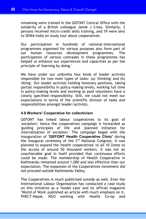remaining were trained in the GEFONT Central Office with the solidarity of a British colleague Jamie J Cross. Similarly, 3 persons received micro-credit skills training, and 19 were sent to SEWA-India on study tour about cooperatives.

Our participation in hundreds of national-international programmes organised for various purposes also form part of our human resources development programmes. The participation of various comrades in these programmes has helped us enhance our experiences and capacities as per the principle of 'learning by doing.'

We have under our umbrella four kinds of leader activists responsible for two main types of tasks: (a) 'thinking' and (b) 'doing'. Our leader activists holding honorary positions, taking partial responsibility in policy-making levels, working full time in policy-making levels and working as paid volunteers have a clearly specified responsibility. Still, we could not meet our expectations in terms of the scientific division of tasks and responsibilities amongst leader/activists.

# **4.9 Workers' Cooperative for collectivism**

GEFONT has linked labour cooperatives to its goal of 'socialism'; hence the cooperatives campaign is forwarded as 'guiding principles of life' and 'planned initiation for internalisation of socialism.' The campaign began with the inauguration of **'GEFONT Health Cooperative Clinic'** during the inaugural ceremony of the 3<sup>rd</sup> National Congress. It was planned to expand the 'health cooperatives' to all 10 Zones to the access of around 50 thousand workers. It was not an unachievable goal in itself provided that continuous efforts could be made. The membership of Health Cooperative in Kathmandu remained around 1,000 and less effective than our expectation. The expansion of the Cooperatives movement did not proceed outside Kathmandu Valley.

The Cooperatives is much publicised outside as well. Even the International Labour Organisation has conducted a case study on this initiative as a 'model case' and its official magazine "World of Work' published an article with much emphasis on it. PHECT-Nepal, NGO working with Health Co-op and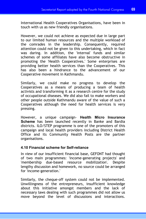International Health Cooperatives Organisations, have been in touch with us as new friendly organisations.

However, we could not achieve as expected due in large part to our limited human resources and the multiple workload of the comrades in the leadership. Consequently, required attention could not be given to this undertaking, which in fact was daring. In addition, the 'internal' funds and similar schemes of some affiliates have also become obstructive in promoting the 'Health Cooperatives.' Some enterprises are providing better health services than the Cooperatives. This has also been a hindrance to the advancement of our Cooperative movement in Kathmandu.

Similarly, we could make no progress to develop the Cooperatives as a means of producing a team of health activists and transforming it as a research centre for the study of occupational diseases. We did also fail to make workers and other people outside Kathmandu aware of the value of such a Cooperatives although the need for health services is very pressing.

However, a unique campaign- **Health Micro Insurance Scheme** has been launched recently in Banke and Bardia districts. ILO/STEP programme is one of the promoters of this campaign and local health providers including District Health Office and its Community Health Posts are the partner organisations.

# **4.10 Financial scheme for Self-reliance**

In view of our insufficient financial base, GEFONT had thought of two main programmes: 'income-generating projects' and 'membership due-based resource mobilization'. Despite lengthy discussion and homework, no source could be arranged for 'income-generation.'

Similarly, the cheque-off system could not be implemented. Unwillingness of the entrepreneurs, insufficient knowledge about this initiative amongst members and the lack of necessary laws dealing with such programmes did not allow us move beyond the level of discussions and interactions.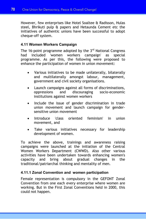However, few enterprises like Hotel Soaltee & Radisson, Hulas steel, Bhrikuti pulp & papers and Hetaunda Cement etc the initiatives of authentic unions have been successful to adopt cheque-off system.

# **4.11 Women Workers Campaign**

The 16-point programme adopted by the  $3<sup>rd</sup>$  National Congress had included 'women workers campaign' as special programme. As per this, the following were proposed to enhance the participation of women in union movement:

- Various initiatives to be made unilaterally, bilaterally and multilaterally amongst labour, management, government and civil society organisations.
- Launch campaigns against all forms of discriminations, oppressions and discouraging socio-economic institutions against women workers
- Include the issue of gender discrimination in trade union movement and launch campaign for gendersensitive union movement
- Introduce 'class oriented feminism' in union movement, and
- Take various initiatives necessary for leadership development of women.

To achieve the above, trainings and awareness raising campaigns were launched at the initiation of the Central Women Workers Department (CWWD). Also other various activities have been undertaken towards enhancing women's capacity and bring about gradual changes in the traditional/patriarchal thinking and mentality of men.

# **4.11.1 Zonal Convention and women participation**

Female representation is compulsory in the GEFONT Zonal Convention from one each every enterprise where women are working. But in the First Zonal Conventions held in 2000, this could not happen.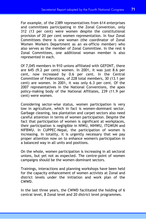For example, of the 2389 representatives from 614 enterprises and committees participating in the Zonal Convention, only 312 (13 per cent) were women despite the constitutional provision of 20 per cent women representation. In four Zonal Committees there is one woman (the coordinator of Zonal Women Workers Department as an ex-officio member) who also serves as the member of Zonal Committee. In the rest 6 Zonal Committees, one additional woman member is also represented in each.

Of 7,045 members in 910 unions affiliated with GEFONT, there are 645 (9.2 per cent) women. In 2001, it was just 8.6 per cent, now increased by 0.6 per cent. In the Central Committee of Federations, of 228 total members, 30 (13.1 per cent) are women. In 2001, it was only 6.3 per cent. Of the 2007 representatives in the National Conventions, the apex policy-making body of the National Affiliates, 239 (11.9 per cent) were women.

Considering sector-wise status, women participation is very low in agriculture, which in fact is women-dominant sector. Garbage cleaning, tea plantation and carpet sectors also need careful attention in terms of women participation. Despite the fact that participation of women is significant at workplaces, their participation is negligible in NIWU, NIHWU, ITGWUN and NIFBWU. In CUPPEC-Nepal, the participation of women is increasing. In totality, it is urgently necessary that we pay proper attention now on to enhance women's participation in a balanced way in all units and positions.

On the whole, women participation is increasing in all sectoral unions, but yet not as expected. The centre-point of women campaigns should be the women-dominant sectors.

Trainings, interactions and planning workshops have been held for the capacity enhancement of women activists at Zonal and district levels under the initiation and work plan of the CWWD.

In the last three years, the CWWD facilitated the holding of 6 central level, 8 Zonal level and 20 district level programmes.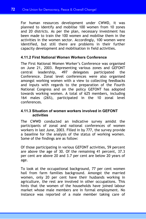For human resources development under CWWD, it was planned to identify and mobilise 100 women from 10 zones and 20 districts. As per the plan, necessary investment has been made to train the 100 women and mobilise them in the activities in the women sector. Accordingly, 100 women were identified, but still there are problems in their further capacity development and mobilisation in field activities.

# **4.11.2 First National Women Workers Conference**

The First National Women Worker's Conference was organised on June 21, 2003. Representing various zones and GEFONT central leadership, 497 delegates participated the Conference. Zonal level conferences were also organised amongst working women with a view to collecting feedbacks and inputs with regards to the preparation of the Fourth National Congress and on the policy GEFONT has adopted towards working women. A total of 625 members, including 164 males (26%), participated in the 10 zonal level conferences.

# **4.11.3 Situation of women workers involved in GEFONT activities**

The CWWD conducted an indicative survey amidst the participants of zonal and national conferences of women workers in last June, 2003. Filled in by 777, the survey provide a baseline for the analysis of the status of working women. Some of the findings are as follow:

Of those participating in various GEFONT activities, 59 percent are above the age of 30. Of the remaining 41 percent, 37.3 per cent are above 20 and 3.7 per cent are below 20 years of age.

To look at the occupational background, 77 per cent women hail from farm families background. Amongst the married women, only 20 per cent have their husbands working in agriculture, the rest are involved in other occupations. This hints that the women of the households have joined labour market whose male members are in formal employment. No instance was reported of a male member taking care of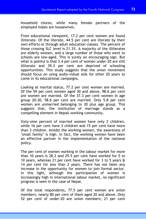household chores, while many female partners of the employed males are housewives.

From educational viewpoint, 17.2 per cent women are found illiterate. Of the literate, 44.5 per cent are literate by their own efforts or through adult education classes. The percent of those crossing SLC level is 21.3%. A majority of the illiterates are elderly women, and a large number of those who went to schools are low-aged. This is surely an encouraging sign. But what is painful is that 3.4 per cent of women under-20 are still illiterate and 39.3 per cent are deprived of schooling opportunities. This study suggests that the union movement should focus on using audio-vidual aids for other 20 years to come in its educational campaigns.

Looking at marital status, 77.2 per cent women are married. Of the 59 per cent women aged 30 and above, 98.6 per cent are women are married. Of the 37.3 per cent women in age group 20-30, 58.6 per cent are married. Only 5.8 per cent women are unmarried belonging to 30 plus age group. This suggests that, the institution of marriage stands as a compelling element in Nepali working community.

Sixty-nine percent of married women have only 2 children, while 16 per cent have 3 children and 15 per cent have more than 3 children. Amidst the working women, the awareness of 'small family' is high. In fact, the working women have been an effective partner in the implementation of the national policy.

The per cent of women working in the labour market for more than 10 years is 28.2 and 29.5 per cent have worked for 5 to 10 years, whereas 21 per cent have worked for 3 to 5 years & 14 per cent for less than 2 years. There has not been any increase in the opportunity for women to join formal sector. In this light, although the participation of women is increasingly high in international labour market, no significant progress is seen in the case of Nepal.

Of the total respondents, 77.5 per cent women are union members, nearly 80 per cent of them aged 20 and above. Only 52 per cent of under-20 are union members; 21 per cent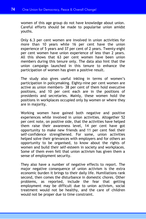women of this age group do not have knowledge about union. Careful efforts should be made to popularise union amidst youths.

Only 6.3 per cent women are involved in union activities for more than 10 years while 16 per cent have the union experience of 5 years and 37 per cent of 2 years. Twenty-eight per cent women have union experience of less than 2 years. All this shows that 63 per cent women have been union members during this tenure only. The data also hint that the union campaign launched in this tenure to enhance the participation of women has given a positive result.

The study also gives useful inkling in terms of women's participation in policymaking. Eighty-nine per cent women are active as union members- 38 per cent of them hold executive positions, and 10 per cent each are in the positions of presidents and secretaries. Mainly, these women hold the positions in workplaces occupied only by women or where they are in majority.

Working women have gained both negative and positive experiences while involved in union activities. Altogether 52 per cent note, on positive side, that the activities have helped them raise their awareness level, 14 per cent have got opportunity to make new friends and 11 per cent feel their self-confidence strengthened. For some, union activities helped solve their grievances with employers and for others an opportunity to be organised, to know about the rights of women and build their self-esteem in society and workplaces. Some of them even felt that union activism has given them a sense of employment security.

They also have a number of negative effects to report. The major negative consequence of union activism is the extra economic burden it brings to their daily life. Humiliations rank second, then comes the disturbance in domestic chores. Other problems, as reported, include the fear that getting employment may be difficult due to union activism, social treatment would not be healthy, and the care of children would not be proper due to time constraint.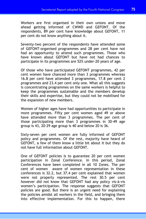Workers are first organised in their own unions and move ahead getting informed of CWWD and GEFONT. Of the respondents, 89 per cent have knowledge about GEFONT, 11 per cent do not know anything about it.

Seventy-two percent of the respondents have attended some of GEFONT-organised programmes and 28 per cent have not had an opportunity to attend such programmes. Those who have known about GEFONT but have not had chances to participate in its programmes are 52% under-20 years of age.

Of those who have participated GEFONT programmes, 42 per cent women have chanced more than 3 programmes whereas 16.8 per cent have attended 3 programmes, 17.8 per cent 2 programmes and 23.4 per cent only one. What all this suggests is concentrating programmes on the same workers is helpful to keep the programmes sustainable and the members develop their skills and expertise, but they could not be mobilised for the expansion of new members.

Women of higher ages have had opportunities to participate in more programmes. Fifty per cent women aged 49 or above have attended more than 3 programmes. The per cent of those participating more than 3 programmes in 30-49 age group is 43, 20-29 age group is 40 and below 20 is 36.

Sixty-seven per cent women are fully informed of GEFONT policy and programmes. Of the rest, majority have heard of GEFONT, a few of them know a little bit about it but they do not have full information about GEFONT.

One of GEFONT policies is to guarantee 20 per cent women participation in Zonal Conference. In this period, Zonal Conferences have been completed in all 10 Zones. The per cent of women aware of women representation in these conferences is 32.2, but 37.4 per cent explained that women were not properly represented. The rest 30.5 per cent however did not know that GEFONT had any policy vis-à-vis women's participation. The response suggests that GEFONT policies are good. But there is an urgent need for explaining the policies amidst all workers in the field, and bringing them into effective implementation. For this to happen, there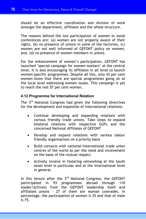should be an effective coordination and division of work amongst the department, affiliates and the whole structure.

The reasons behind the low participation of women in zonal conferences are: (a) women are not properly aware of their rights, (b) no presence of unions in some of the factories, (c) women are not well informed of GEFONT policy on women, and,  $(d)$  no presence of women members in unions.

For the enhancement of women's participation, GEFONT has launched 'special campaign for women workers' at the central level. It is also encouraging its affiliates in all level to launch women-specific programmes. Despite all this, only 43 per cent women know that there are special programmes going on at the local level addressing women issues. This campaign is yet to reach the rest 57 per cent women.

# **4.12 Programme for International Relation**

The 3<sup>rd</sup> National Congress had given the following directives for the development and expansion of international relations:

- Continue developing and expanding relations with various friendly trade unions. Take steps to expand bilateral relations with respective GUFs and the concerned National Affiliates of GEFONT
- Develop and expand relations with various labour friendly organisations on a priority basis
- Build contacts with national/international trade union centres of the world as per the need and involvement on the basis of the mutual respect.
- Actively involve in fostering networking at the South Asian level in particular and at the international level in general.

In this tenure after the  $3<sup>rd</sup>$  National Congress, the GEFONT participated in 93 programmes abroad through 110 leader/activists from the GEFONT leadership itself and affiliated unions - 27 of them are woman comrades. In percentage, the participation of women is 25 and that of male is 75.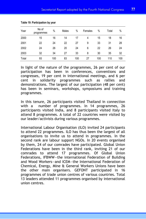| Year  | No of<br>programmes | $\%$ | Males | %   | Females | %   | Total | %   |
|-------|---------------------|------|-------|-----|---------|-----|-------|-----|
| 2000  | 15                  | 16   | 14    | 17  | 4       | 15  | 18    | 16  |
| 2001  | 22                  | 24   | 22    | 27  | 9       | 33  | 31    | 28  |
| 2002  | 24                  | 26   | 20    | 24  | 6       | 22  | 26    | 24  |
| 2003  | 32                  | 34   | 27    | 33  | 8       | 30  | 35    | 32  |
| Total | 93                  | 100  | 83    | 100 | 27      | 100 | 110   | 100 |

**Table 19: Participation by year** 

In light of the nature of the programmes, 26 per cent of our participation has been in conferences, conventions and congresses, 19 per cent in international meetings, and 6 per cent in solidarity programmes such as rallies and demonstrations. The largest of our participation (48 per cent) has been in seminars, workshops, symposiums and training programmes.

In this tenure, 26 participants visited Thailand in connection with a number of programmes. In 14 programmes, 26 participants visited India, and 8 participants visited Italy to attend 8 programmes. A total of 22 countries were visited by our leader/activists during various programmes.

International Labour Organisation (ILO) invited 24 participants to attend 22 programmes. ILO has thus been the largest of all organisations to invite us to attend in programmes. In the second rank are labour support NGOs. In 20 events organised by them, 24 of our comrades have participated. Global Union Federations have been in the third rank, inviting 21 of our comrades to attend 17 programmes. Of Global Union Federations, IFBWW—the international Federation of Building and Wood Workers—and ICEM—the International Federation of Chemical, Energy, Mine & General Workers Unions have been the other main organisers. GEFONT participated in 16 programmes of trade union centres of various countries. Total 13 leaders attended 11 programmes organised by international union centres.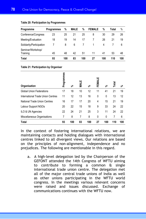| Programme                     | <b>Programmes</b> | %   | <b>MALE</b> | %   | <b>FEMALE</b> | %   | Total | %   |
|-------------------------------|-------------------|-----|-------------|-----|---------------|-----|-------|-----|
| Conference/Congress           | 23                | 25  | 21          | 25  | 8             | 30  | 29    | 26  |
| Meeting/Evaluation            | 18                | 19  | 14          | 17  |               | 26  | 21    | 19  |
| Solidarity/Participation      |                   | 8   | 6           |     |               | 4   |       | 6   |
| Seminar/Workshop/<br>Training | 45                | 48  | 42          | 51  | 11            | 41  | 53    | 48  |
| <b>Total</b>                  | 93                | 100 | 83          | 100 | 27            | 100 | 110   | 100 |

#### **Table 20: Participation by Programmes**

#### **Table 21: Participation by Organiser**

| Organisation                      | Programmes | వి  | <b>MALE</b> | వి  | FEMALE | వి           | Total | వి  |
|-----------------------------------|------------|-----|-------------|-----|--------|--------------|-------|-----|
| <b>Global Union Federations</b>   | 17         | 18  | 10          | 12  | 11     | 41           | 21    | 19  |
| International Trade Union Centres | 11         | 12  | 13          | 16  | 0      | $\mathbf{0}$ | 13    | 12  |
| National Trade Union Centres      | 16         | 17  | 17          | 20  | 4      | 15           | 21    | 19  |
| Labour Support NGOs               | 20         | 22  | 15          | 18  | 9      | 33           | 24    | 22  |
| ILO & UN Agencies                 | 22         | 24  | 21          | 25  | 3      | 11           | 24    | 22  |
| Miscellaneous Organisations       | 7          | 8   | 7           | 8   | 0      | 0            | 7     | 6   |
| <b>Total</b>                      | 93         | 100 | 83          | 100 | 27     | 100          | 110   | 100 |

In the context of fostering international relations, we are maintaining contacts and holding dialogues with international centres linked to all divergent views. Our relations are based on the principles of non-alignment, independence and no prejudices. The following are mentionable in this regard.

a. A high-level delegation led by the Chairperson of the GEFONT attended the 14th Congress of WFTU aiming to contribute to forming a common & single international trade union centre. The delegation met all of the major central trade unions of India as well as other unions participating in the WFTU world congress. In the meetings various relevant concerns were raised and issues discussed. Exchange of communications continues with the WFTU now.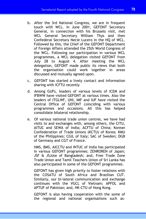- b. After the 3rd National Congress, we are in frequent touch with WCL. In June 2001, GEFONT Secretary General, in connection with his Brussels visit, met WCL General Secretary William Thys and then Confederal Secretary Necie Lucero in the HQ of WCL. Followed by this, the Chief of the GEFONT Department of Foreign Affairs attended the 25th World Congress of the WCL. Following our participation in various WCL programmes, a WCL delegation visited GEFONT from July 28 to August 4. After meeting the WCL delegation, GEFONT made public its views that both the organisation could work together in areas discussed and mutually agreed upon.
- c. GEFONT has started a lively contact and information sharing with ICFTU recently
- d. Among GUFs, leaders of various levels of ICEM and IFBWW have visited GEFONT at various times. Also the leaders of ITGLWF, UNI, IMF and IUF have visited the Central Office of GEFONT coinciding with various programmes and occasions. All this has helped consolidate bilateral relationship.
- e. Of various national trade union centres, we have had visits to and exchanges with, among others, the CITU, AITUC and SEWA of India; ACFTU of China; Korean Confederation of Trade Unions (KCTU) of Korea; KMU of the Philippines; CGIL of Italy; SAC of Sweden; DGB of Germany and CGT of France.

HMS, BMS, AICCTU and INTUC of India has participated in various GEFONT programmes; ZENROREN of Japan; JSF & JSJote of Bangladesh; and, Free Trade Zone Trade Union and Tamil Teachers Union of Sri Lanka has also participated in some of the GEFONT programmes.

GEFONT has given high priority to foster relations with the COSATU of South Africa and Brazilian CUT. Similarly, our bi-lateral communication and exchange continues with the VGCL of Vietnam; APFOL and APTUF of Pakistan; and, HK-CTU of Hong Kong.

GEFONT is also having cooperation with the some of the regional and national organisations such as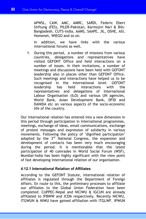APWSL, CAW, AMC, AMRC, SARDI, Federic Ebert Stiftung (FES), PILER-Pakistan, Karmojivi Nari & Bils-Bangladesh, CUTS-India, AAMS, SAAPE, JIL, OSHE, ASI, Homenet, WIEGO and so on.

In addition, we have links with the various international forums as well.

f. During this period, a number of missions from various countries, delegations and representatives have visited GEFONT Office and held interactions on a number of issues. In their invitations, a number of meetings and discussions have been held with GEFONT leadership also in places other than GEFONT Office. Such meetings and interactions have helped us to be recognised in the international level. GEFONT leadership has held interactions with the representatives and delegations of International Labour Organisation (ILO) and various UN agencies, World Bank, Asian Development Bank, DFID and DANIDA etc on various aspects of the socio-economic life of the country.

Our international relation has entered into a new dimension in this period through participation in international programmes, meetings, exchange of ideas, email communications, exchange of protest messages and expression of solidarity in various movements. Following the policy of 'dignified participation' adopted by the  $3<sup>rd</sup>$  National Congress, the expansion and development of contacts has been very much encouraging during the period. It is mentionable that the latest participation of 40 comrades in World Social Forum (WSF), Mumbai-India has been highly significant with the view point of fast developing international relation of our organisation.

# **4.12.1 International Relation of Affiliates**

According to the GEFONT Statute, international relation of affiliates is regulated through the Department of Foreign Affairs. En route to this, the preliminary processes to affiliate our affiliates to the Global Union Federation have been completed. CUPPEC-Nepal and NICIWU & IGCUN are already affiliated to IFBWW and ICEM respectively. Recently NICWU, ITGWUN & NIWU have gained affiliation with ITGLWF. IPWUN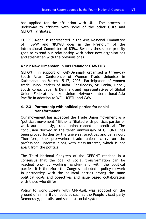has applied for the affiliation with UNI. The process is underway to affiliate with some of the other GUFs and GEFONT affiliates.

CUPPEC-Nepal is represented in the Asia Regional Committee of IFBWW and NICIWU does in the Presidium of the International Committee of ICEM. Besides these, our priority goes to extend our relationship with other new organisations and strengthen with the previous ones.

# **4.12.2 New Dimension in Int'l Relation: SAWTUC**

GEFONT, in support of KAD-Denmark organised a three-day South Asian Conference of Women Trade Unionists in Kathmandu on March 15-17, 2003. Participation of women trade union leaders of India, Bangladesh, Sri Lanka, Nepal, South Korea, Japan & Denmark and representatives of Global Union Federations like Union Network International-Asia Pacific in addition to WCL, ICFTU and CAW.

# **4.12.3 Partnership with political parties for social transformation**

Our movement has accepted the Trade Union movement as a 'political movement.' Either affiliated with political parties or work autonomously, trade union cannot be apolitical. The conclusion derived in the tenth anniversary of GEFONT, has been proved further by the universal practices and behaviour. Therefore, the pro-worker trade unions carry on the professional interest along with class-interest, which is not apart from the politics.

The Third National Congress of the GEFONT reached in a consensus that the goal of social transformation can be reached only by working hand-in-hand with the political parties. It is therefore the Congress adopted a policy to work in partnership with the political parties having the same political goals and objectives and issue based collaboration with those who differ.

Policy to work closely with CPN-UML was adopted on the ground of similarity on policies such as the People's Multiparty Democracy, pluralist and socialist social system.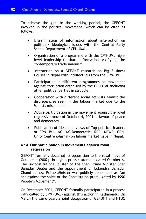To achieve the goal in the working period, the GEFONT involved in the political movement, which can be cited as follows:

- Dissemination of information about interaction on political/ ideological issues with the Central Party School Department of CPN-UML.
- Organisation of a programme with the CPN-UML highlevel leadership to share information briefly on the contemporary trade unionism.
- Interaction on a GEFONT research on Big Business Houses in Nepal with intellectuals from the CPN-UML.
- Participation in different programmes on movement against corruption organised by the CPN-UML including other political parties in struggle.
- Cooperation with different social activists against the discrepancies seen in the labour market due to the Maoists misconducts.
- Active participation in the movement against the royal regressive move of October 4, 2001 in favour of peace and democracy.
- Publication of ideas and views of Top political leaders of CPN-UML, NC, NC-Democratic, RPP, NPWP, CPN-Unity Centre (Mashal) on labour market issue in Nepal.

# **4.14. Our participation in movements against royal regression**

GEFONT formally declared its opposition to the royal move of October 4 (2002) through a press statement dated October 6. The unconstitutional ouster of the then Prime Minister Sher Bahadur Deuba and the appointment of Lokendra Bahadur Chand as new Prime Minister was publicly denounced as "an act against the spirit of the Constitution promulgated by 1990 People's Movement".

On December 2001, GEFONT formally participated in a protest rally called by CPN (UML) against this action in Kathmandu. On March the same year, a joint delegation of GEFONT and NTUC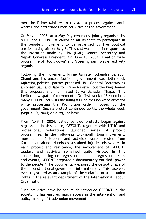met the Prime Minister to register a protest against antiworker and anti-trade union activities of the government.

On May 1, 2003, at a May Day ceremony jointly organised by NTUC and GEFONT, it called on all its force to participate in the people's movement to be organised by five political parties taking off on May 3. This call was made in response to the invitation made by CPN (UML) General Secretary and Nepali Congress President. On June 15, 2003, a nation wide programme of 'tools down' and 'steering jam' was effectively organised.

Following the movement, Prime Minister Lokendra Bahadur Chand and his unconstitutional government was dethroned. Agitating political parties proposed UML General Secretary as a consensual candidate for Prime Minister, but the king denied this proposal and nominated Surya Bahadur Thapa. This invited new spate of movements. On first week of September, many GEFONT activists including its Chairperson were arrested while protesting the Prohibition order imposed by the government. Such a protest continued up till the whole week (Sept 4-10, 2004) on a regular basis.

From April 1, 2004, valley centred protests began against regression. In this phase, GEFONT, together with NTUC and professional federations, launched series of protest programmes. In the following two-month long movement, more than 45 leaders and activists were arrested from Kathmandu alone. Hundreds sustained injuries elsewhere. In each protest and resistance, the involvement of GEFONT leaders and activists remained quite visible. In this connection, basing on regression and anti-regression issues and events, GEFONT prepared a documentary entitled 'power to the people.' The documentary exposed the despotic face of the unconstitutional government internationally. This case was even registered as an example of the violation of trade union rights in the relevant department of the International Labour Organisation.

Such activities have helped much introduce GEFONT in the society. It has ensured much access in the intervention and policy making of trade union movement.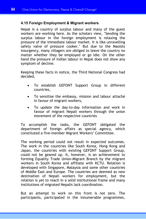# **4.15 Foreign Employment & Migrant workers**

Nepal is a country of surplus labour and many of the guest workers are working here. As the scholars view, 'Sending the surplus labour in the foreign employment is relaxing the pressure of the immediate labour market. It is like unravelling safety valve of pressure cooker.' But due to the Maoists insurgency, many villagers are obliged to leave the country no matter whether they be employed or go idle. On the other hand the pressure of Indian labour in Nepal does not show any symptom of decline.

Keeping these facts in notice, the Third National Congress had decided,

- To establish GEFONT Support Group in different countries,
- To sensitise the embassy, mission and labour attaché in favour of migrant workers,
- To update the day-to-day information and work in favour of migrant Nepali workers through the union movement of the respective countries

To accomplish the tasks, the GEFONT obligated the department of foreign affairs as special agency, which constituted a five-member Migrant Workers' Committee.

The working period could not result in expected outcomes. The work in the countries like South Korea, Hong Kong and Japan, the countries with existing GEFONT Support Group, could not be geared up. It, however, is an achievement to forming Equality Trade Union-Migrant Branch by the migrant workers in South Korea and affiliate with KCTU. Relation is developed with Singapore, Malaysia and some other countries of Middle East and Europe. The countries are deemed as new destination of Nepali workers for employment, but the relation is yet to reach in a solid institutional frame and many institutions of migrated Nepalis lack coordination.

But an attempt to work on this front is not zero. The participants, participated in the innumerable programmes,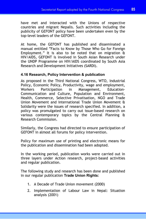have met and interacted with the Unions of respective countries and migrant Nepalis. Such activities including the publicity of GEFONT policy have been undertaken even by the top-level leaders of the GEFONT.

At home, the GEFONT has published and disseminated a manual entitled "Facts to Know by Those Who Go for Foreign Employment." It is also to be noted that on migration  $\mathbf{\hat{a}}$ HIV/AIDS, GEFONT is involved in South Asian Research under the UNDP Programme on HIV/AIDS coordinated by South Asia Research and Development Initiatives (SARDI).

# **4.16 Research, Policy Intervention & publication**

As proposed in the Third National Congress, WTO, Industrial Policy, Economic Policy, Productivity, wage and employment, Workers Participation in Management, Education-Communication and Culture, Population and Environment, Health, Commerce, Selective Privatisation, NGO and Trade Union Movement and International Trade Union Movement & Solidarity were the issues of research specified. In addition, a policy was promulgated to carry out issue-based research on various contemporary topics by the Central Planning & Research Commission.

Similarly, the Congress had directed to ensure participation of GEFONT in almost all forums for policy intervention.

Policy for maximum use of printing and electronic means for the publication and dissemination had been adopted.

In the working period, publication works were carried out in three layers under Action research, project-based activities and regular publication.

The following study and research has been done and published in our regular publication **Trade Union Rights**:

- 1. A Decade of Trade Union movement (2000)
- 2. Implementation of Labour Law in Nepal: Situation analysis (2001)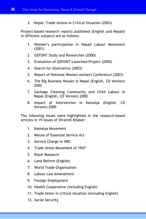3. Nepal: Trade Unions in Critical Situation (2003)

Project-based research reports published (English and Nepali) in different subjects are as follows:

- 1. Women's participation in Nepali Labour Movement (2001)
- 2. GEFONT Study and Researches (2000)
- 3. Evaluation of GEFONT-Launched Project (2000)
- 4. Search for Alternative (2003)
- 5. Report of National Women workers Conference (2003)
- 6. The Big Business Houses in Nepal (English, CD Version) 2000
- 7. Garbage Cleaning Community and Child Labour in Nepal (English, CD Version) 2000
- 8. Impact of Intervention in Kamaiya (English, CD Version) 2000

The following issues were highlighted in the research-based articles in 19 issues of *Shramik Khabar*:

- 1. Kamaiya Movement
- 2. Misuse of Essential Service Act
- 3. Service Charge in HRC
- 4. Trade Union Movement of 1947
- 5. Royal Massacre
- 6. Land Reform (English)
- 7. World Trade Organisation
- 8. Labour Law Amendment
- 9. Foreign Employment
- 10. Health Cooperative (including English)
- 11. Trade Union in critical situation (including English)
- 12. Social Security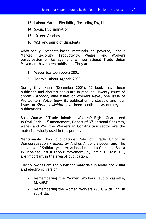- 13. Labour Market Flexibility (including English)
- 14. Social Discrimination
- 15. Street Vendors
- 16. WSF and Music of dissidents

Additionally, research-based materials on poverty, Labour Market Flexibility, Productivity, Wages, and Workers participation on Management & International Trade Union Movement have been published. They are:

- 1. Wages (cartoon book) 2002
- 2. Today's Labour Agenda 2002

During this tenure (December 2003), 32 books have been published and about 9 books are in pipeline. Twenty issues of *Shramik Khabar*, nine issues of Workers News, one issue of Pro-workers Voice (now its publication is closed), and four issues of *Shramik Mahila* have been published as our regular publications.

Basic Course of Trade Unionism, Women's Rights Guaranteed in Civil Code  $11<sup>th</sup>$  amendment, Report of  $3<sup>rd</sup>$  National Congress, wages and We, the Workers in Construction sector are the materials widely used in this period.

Mentionable, two publications Role of Trade Union in Democratisation Process, by Andres Ahlion, Sweden and The Language of Solidarity: Internationalism and a Gaikhane Bhasa in Nepalese Leftist Labour Movement, by Jamie J. Cross, UK, are important in the area of publication.

The followings are the published materials in audio and visual and electronic version.

- Remembering the Women Workers (audio cassette, CD/MP3)
- Remembering the Women Workers (VCD) with English sub-title.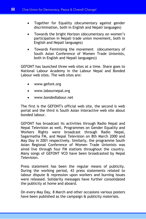- Together for Equality (documentary against gender discrimination, both in English and Nepali languages)
- Towards the bright Horizon (documentary on women's participation in Nepali trade union movement, both in English and Nepali languages)
- Towards Feminising the movement (documentary of South Asian Conference of Women Trade Unionists, both in English and Nepali languages))

GEFONT has launched three web sites at a time. Share goes to National Labour Academy in the Labour Nepal and Bonded Labour web sites. The web sites are:

- www.gefont.org
- www.labournepal.org
- www.bondedlabour.net

The first is the GEFONT's official web site, the second is web portal and the third is South Asian Interactive web site about bonded labour.

GEFONT has broadcast its activities through Radio Nepal and Nepal Television as well. Programmes on Gender Equality and Workers Rights were broadcast through Radio Nepal, Sagarmatha FM, and Nepal Television on 8th March 2000 and May Day in 2001 respectively. Similarly, the programme South Asian Regional Conference of Women Trade Unionists was aired live through four FM stations throughout the country. Many songs of GEFONT VCD have been broadcasted by Nepal Television.

Press statement has been the regular means of publicity. During the working period, 43 press statements related to labour dispute & repression upon workers and burning issues were released. Solidarity messages have further consolidated the publicity at home and aboard.

On every May Day, 8 March and other occasions various posters have been published as the campaign & publicity materials.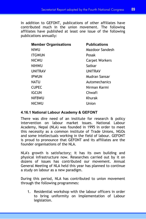In addition to GEFONT, publications of other affiliates have contributed much in the union movement. The following affiliates have published at least one issue of the following publications annually:

| <b>Member Organisations</b> | <b>Publications</b>   |
|-----------------------------|-----------------------|
| NIWU                        | Mazdoor Sandesh       |
| <b>ITGWUN</b>               | Posak                 |
| NICWU                       | <b>Carpet Workers</b> |
| <b>NIHWU</b>                | Satkar                |
| <b>UNITRAV</b>              | UNITRAV               |
| <b>IPWUN</b>                | Mudran Sansar         |
| NATU                        | Automechanics         |
| <b>CUPEC</b>                | Nirman Karmi          |
| IGCUN                       | Chwafi                |
| <b>NIFBWU</b>               | Khurak                |
| <b>NICIWU</b>               | Union                 |

# **4.16.1 National Labour Academy & GEFONT**

There was dire need of an institute for research & policy intervention on labour market issues. National Labour Academy, Nepal (NLA) was founded in 1995 in order to meet this necessity as a common institute of Trade Unions, NGOs and some intellectuals working in the field of labour. GEFONT is proud to pronounce that GEFONT and its affiliates are the founder organisations of the NLA.

NLA's growth is satisfactory; it has its own building and physical infrastructure now. Researches carried out by it on dozens of issues has contributed our movement. Annual General Meeting of NLA held this year has planned to continue a study on labour as a new paradigm.

During this period, NLA has contributed to union movement through the following programmes:

1. Residential workshop with the labour officers in order to bring uniformity on Implementation of Labour legislation.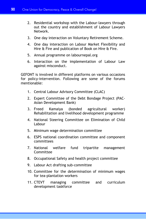- 2. Residential workshop with the Labour-lawyers through out the country and establishment of Labour Lawyers Network.
- 3. One day interaction on Voluntary Retirement Scheme.
- 4. One day interaction on Labour Market Flexibility and Hire & Fire and publication of Book on Hire & Fire.
- 5. Annual programme on labournepal.org
- 6. Interaction on the implementation of Labour Law against misconduct.

GEFONT is involved in different platforms on various occasions for policy-intervention. Following are some of the forums mentionable:

- 1. Central Labour Advisory Committee (CLAC)
- 2. Expert Committee of the Debt Bondage Project (PAC-Asian Development Bank)
- 3. Freed Kamaiya (bonded agricultural worker) Rehabilitation and livelihood development programme
- 4. National Steering Committee on Elimination of Child Labour
- 5. Minimum wage determination committee
- 6. ESPS national coordination committee and component committees
- 7. National welfare fund tripartite management **Committee**
- 8. Occupational Safety and health project committee
- 9. Labour Act drafting sub-committee
- 10. Committee for the determination of minimum wages for tea-plantation workers
- 11. CTEVT managing committee and curriculum development taskforce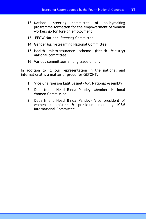- 12. National steering committee of policymaking programme formation for the empowerment of women workers go for foreign employment
- 13. EEOW National Steering Committee
- 14. Gender Main-streaming National Committee
- 15. Health micro-insurance scheme (Health Ministry) national committee
- 16. Various committees among trade unions

In addition to it, our representation in the national and international is a matter of proud for GEFONT.

- 1. Vice Chairperson Lalit Basnet- MP, National Assembly
- 2. Department Head Binda Pandey- Member, National Women Commission
- 3. Department Head Binda Pandey- Vice president of women committee & presidium member, ICEM International Committee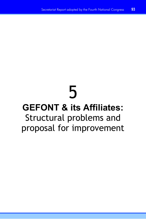# 5

# **GEFONT & its Affiliates:** Structural problems and proposal for improvement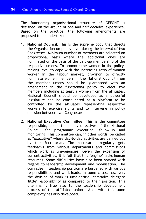The functioning organisational structure of GEFONT is designed on the ground of one and half decades' experience. Based on the practice, the following amendments are proposed to be undertaken:

- 1. **National Council:** This is the supreme body that directs the Organisation on policy level during the interval of two Congresses. Minimum number of members are selected on proportional basis where the additional ones are nominated on the basis of the paid-up membership of the respective unions. To promote the women in the policymaking level to cope with the increasing ratio of women worker in the labour market, provision to directly nominate women members in the National Council from the member unions should be guaranteed with an amendment in the functioning policy to elect five members including at least a women from the affiliates. National Council should be developed as a powerful legislature and be consolidated as a platform to be controlled by the affiliates representing respective workers to exercise rights and to intervene in policy decision between two Congresses.
- 2. **National Executive Committee:** This is the committee responsible, under the policy directives of the National Council, for programme execution, follow-up and monitoring. This Committee can, in other words, be called as "executive" whose day-to-day activities are carried out by the Secretariat. The secretariat regularly gets feedbacks from various departments and commissions which work as line-agencies. Given the expansion of current activities, it is felt that this 'engine' lacks human resources. Some difficulties have also been noticed with regards to leadership development and mobilisation. The comrades in leadership position are burdened with various responsibilities and work-loads. In some cases, however, the division of work is unscientific, comrades delegate 'little' responsibility as compared to their position. This dilemma is true also to the leadership development process of the affiliated unions. And, with this some complexity has also developed.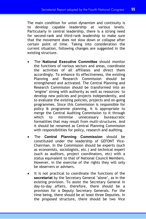The main condition for union dynamism and continuity is to develop capable leadership at various levels. Particularly in central leadership, there is a strong need for second-rank and third-rank leadership to make sure that the movement does not slow down or collapse after certain point of time. Taking into consideration the current situation, following changes are suggested in the existing structure.

- The **National Executive Committee** should monitor the functions of various sectors and areas, coordinate the activities of all affiliates and direct them accordingly. To enhance its effectiveness, the existing Planning and Research Commission should be strengthened and activated. The Central Planning and Research Commission should be transformed into an 'engine' strong with authority as well as resources- to develop new policies and projects independently, and to evaluate the existing policies, projects and on-going programmes. Since this Commission is responsible for policy & programme planning, it is appropriate to merge the Central Auditing Commission to it through which to minimise unnecessary bureaucratic formalities that may result from multi-structures. And it should be renamed as Central Planning Commission with responsibilities for policy, research and auditing.
- The **Central Planning Commission** should be constituted under the leadership of GEFONT Vice-Chairman. In the Commission should be experts (such as economists, sociologists, etc.) and technical expert (such as auditors, project coordinators, etc) with a status equivalent to that of National Council Members. However, in the exercise of the rights they will only be observers or advisers.
- It is not practical to coordinate the functions of the **secretariat** by the Secretary General 'alone', as in the existing provision. To assist the Secretary General in day-to-day affairs, therefore, there should be a provision for a Deputy Secretary Generals. For the time being, there should be at least three Deputies. In the proposed structure, there should be two Vice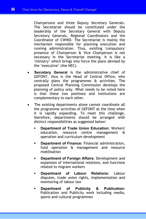Chairpersons and three Deputy Secretary Generals. The Secretariat should be constituted under the leadership of the Secretary General with Deputy Secretary Generals, Regional Coordinators and the Coordinator of CWWD. The Secretariat is mainly the mechanism responsible for planning execution and running administration. Thus, existing 'compulsory' presence of Chairperson & Vice Chairperson is not necessary in the Secretariat meeting. It is like a 'ministry' which brings into force the plans devised by the 'executive' (the NEC).

- **Secretary General** is the administrative chief of GEFONT, thus is the Head of Central Office; who centrally plans the programmes & activities. The proposed Central Planning Commission develops the planning of policy only. What needs to be noted here is that these two positions and institutions are complementary to each other.
- The existing departments alone cannot coordinate all the programme activities of GEFONT at the time when it is rapidly expanding. To meet this challenge, therefore, departments should be arranged with distinct responsibilities as suggested below:
	- **Department of Trade Union Education:** Workers' education, resource centre management & operation and curriculum development
	- **Department of Finance:** Financial administration, fund operation & management and resource mobilisation
	- **Department of Foreign Affairs:** Development and expansion of international relations, and functions related to migrant workers
	- **Department of Labour Relations:** Labour disputes, trade union rights, implementation and monitoring of labour law
	- **Department of Publicity & Publication:** Publication and Publicity work including media, sports and cultural programmes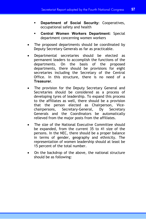- **Department of Social Security:** Cooperatives, occupational safety and health
- **Central Women Workers Department:** Special department concerning women workers
- The proposed departments should be coordinated by Deputy Secretary Generals as far as practicable.
- Departmental secretaries should be elected as permanent leaders to accomplish the functions of the departments. On the basis of the proposed departments, there should be provisions for eight secretaries including the Secretary of the Central Office. In this structure, there is no need of a **Treasurer**.
- The provision for the Deputy Secretary General and Secretaries should be considered as a process of developing tyres of leadership. To expand this process to the affiliates as well, there should be a provision that the person elected as Chairperson, Vicechairpersons, Secretary-General, Dy Secretary Generals and the Coordinators be automatically relieved from the major posts from the affiliates.
- The size of the National Executive Committee should be expanded, from the current 35 to 41 size of the persons. In the NEC, there should be a proper balance in terms of gender, geography and ethnicity. The representation of women leadership should at least be 15 percent of the total number.
- On the backdrop of the above, the national structure should be as following: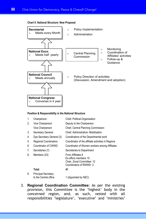

#### **Chart 5: National Structure: New Proposal**

### **Position & Responsibility in the National Structure**

| 1. | Chairperson:                                        | Chief, Political-Organisation                                                                     |
|----|-----------------------------------------------------|---------------------------------------------------------------------------------------------------|
| 2. | Vice Chairperson                                    | Deputy to the Chairperson                                                                         |
|    | Vice Chairperson                                    | Chief, Central Planning Commission                                                                |
| 3. | Secretary General                                   | Chief, Administrative- Mobilisation                                                               |
| 4. | Dye Secretary General (3)                           | Coordinators of the Departmental work                                                             |
| 5. | Regional Coordinators:                              | Coordinator of the affiliate activities in Regions                                                |
| 6. | Coordinator of CWWD:                                | Coordinator of Women workers among Affiliates                                                     |
| 7. | Secretaries (7)                                     | Secretaries to Department                                                                         |
| 8. | Members (23)                                        | From Affiliates 8<br>Ex-officio members 15<br>Chair, Zonal Committee-12<br>Coordinators of RWWD-3 |
|    | Total                                               | 41                                                                                                |
| 9. | <b>Principal Secretary</b><br>to the Central office | 1 (Appointed by NEC)                                                                              |

3. **Regional Coordination Committee:** As per the existing provision, this Committee is the 'highest' body in the concerned region, and, as such, vested with all responsibilities 'legislature', 'executive' and 'ministries'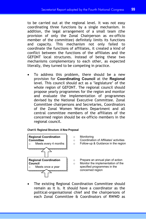to be carried out at the regional level. It was not easy coordinating three functions by a single mechanism. In addition, the legal arrangement of a small team (the provision of only the Zonal Chairperson as ex-officio member of the committee) definitely limits its functions and capacity. This mechanism not only failed to coordinate the functions of affiliates, it created a kind of conflict between the functions of the affiliates and the GEFONT local structures. Instead of being these two mechanisms complementary to each other, as expected literally, they turned to be competing in practice.

To address this problem, there should be a new provision for **Coordinating Council** at the **Regional** level. This council should act as a 'legislature' of the whole region of GEFONT. The regional council should propose yearly programmes for the region and monitor and evaluate the implementation of programmes devised by the National Executive Committee. Zonal Committee chairpersons and Secretaries, Coordinators of the Zonal Women Workers Department and all central committee members of the affiliates of the concerned region should be ex-officio members in the regional council.

**Chart 6: Regional Structure: A New Proposal** 



• The existing Regional Coordination Committee should remain as it is. It should have a coordinator as the political-organisational chief and the chairpersons of each Zonal Committee & Coordinators of RWWD as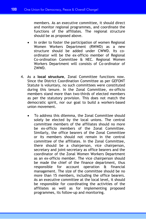members. As an executive committee, it should direct and monitor regional programmes, and coordinate the functions of the affiliates. The regional structure should be as proposed above.

- In order to foster the participation of women Regional Women Workers Department (RWWD) as a new structure should be added under CWWD. Its coordinator will be the ex-officio member of Regional Co-ordination Committee & NEC. Regional Women Workers Department will consists of Co-ordinator of ZWWD.
- 4. As a **local structure**, Zonal Committee functions now. Since the District Coordination Committee as per GEFONT Statute is voluntary, no such committees were constituted during this tenure. In the Zonal Committee, ex-officio members stand more than two-thirds of elected members as per the statutory provision. This does not match the democratic spirit, nor our goal to build a workers-based union movement.
	- To address this dilemma, the Zonal Committee should solely be elected by the local unions. The central committee members of the affiliates should no more be ex-officio members of the Zonal Committee. Similarly, the office bearers of the Zonal Committee or its members should not remain in the central committee of the affiliates. In the Zonal Committee, there should be a chairperson, vice chairperson, secretary and joint-secretary as office bearers and the coordinator of the Zonal Women Workers Department as an ex-officio member. The vice chairperson should be made the chief of the finance department, thus responsible for account operation & financial management. The size of the committee should be no more than 15 members, including the office bearers. As an executive committee at the local level, it should be responsible for coordinating the activities of the affiliates as well as for implementing proposed programmes, its follow-up and monitoring.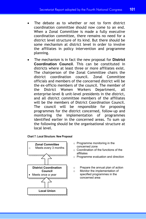- The debate as to whether or not to form district coordination committee should now come to an end. When a Zonal Committee is made a fully executive coordination committee, there remains no need for a district level structure of its kind. But there should be some mechanism at district level in order to involve the affiliates in policy intervention and programme planning.
- The mechanism is in fact the new proposal for **District Coordination Council**. This can be constituted in districts where at least three or more affiliates exist. The chairperson of the Zonal Committee chairs the district coordination council. Zonal Committee officials and members of the concerned district will be the ex-officio members of the council. The member of the District Women Workers Department, all enterprise-level & unit-level presidents in the district, and all district committee members of the affiliates will be the members of District Coordination Council. The council will be responsible for proposing programmes for the district concerned, follow-up and monitoring the implementation of programmes identified earlier in the concerned areas. To sum up the following should be the organisational structure at local level.





- o Programme monitoring in the concerned zone
- $\circ$  Coordination of the functions of the affiliates
- o Programme evaluation and direction
- o Prepare the annual plan of action
- o Monitor the implementation of specified programmes in the concerned area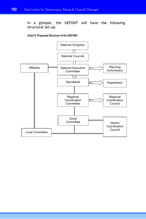In a glimpse, the GEFONT will have the following structural set-up.

### **Chart 8: Proposed Structure of the GEFONT**

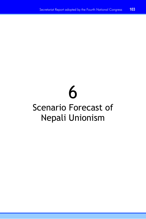# 6

# Scenario Forecast of Nepali Unionism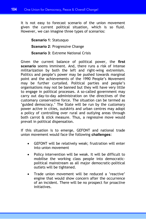It is not easy to forecast scenario of the union movement given the current political situation, which is so fluid. However, we can imagine three types of scenarios:

**Scenario 1**: Statusquo **Scenario 2**: Progressive Change **Scenario 3**: Extreme National Crisis

Given the current balance of political power, the **first scenario** seems imminent. And, there runs a risk of intense militarization by both the left and right-wing extremism. Politics and people's power may be pushed towards marginal point and the achievements of the 1990 People's Movement may be further curtailed. Political parties and people's organisations may not be banned but they will have very little to engage in political processes. A so-called government may carry out day-to-day administration on the directives of the customary conservative force. The situation can be termed as 'guided democracy.' The State will be run by the customary power active in cities, outskirts and urban centres may adopt a policy of controlling over rural and outlying areas through both carrot & stick measure. Thus, a regressive move would prevail in political dispensation.

If this situation is to emerge, GEFONT and national trade union movement would face the following **challenges**:

- GEFONT will be relatively weak; frustration will enter into union movement
- Policy intervention will be weak. It will be difficult to mobilise the working class people into democraticpolitical mainstream as all major democratic-political outlets will be tightened.
- Trade union movement will be reduced a 'reactive' engine that would show concern after the occurrence of an incident. There will be no prospect for proactive initiatives.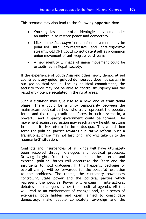This scenario may also lead to the following **opportunities**:

- Working class people of all ideologies may come under an umbrella to restore peace and democracy
- Like in the *Panchayati* era, union movement may be polarised into pro-regressive and anti-regressive streams. GEFONT could consolidate itself as a common union movement of anti-regressive streams.
- A new identity & image of union movement could be established in Nepali society.

If the experience of South Asia and other newly democratised countries is any guide, **guided democracy** does not sustain in our geo-political set-up. Lacking political commitment, the security force may not be able to control insurgency and the resultant violence escalated in the rural areas.

Such a situation may give rise to a new kind of transitional phase. There could be a unity temporarily between the mainstream political parties—who truly represent the people's force—and the ruling traditional force. In such a scenario, a powerful and all-party government could be formed. The movement against regression may reach a new height resulting in a quantitative reform in the status-quo. This would then force the political parties towards qualitative reform. Such a transitional phase may not last long, and will take us to the **'scenario-2'** situation.

Conflicts and insurgencies of all kinds will have ultimately been resolved through dialogues and political processes. Drawing insights from this phenomenon, the internal and external political forces will encourage the State and the insurgents to hold dialogues. If this happens, packages of overall change will be forwarded for the peaceful resolution to the problems. The rebels, the customary power-now controlling State power and the political parties which represent the people's Power will engage in interactions, debates and dialogues as per their political agenda. All this will lead to an environment of change; and, to a series of exercises, both hidden and open, aimed to consolidate democracy, make people completely sovereign and the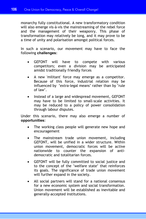monarchy fully constitutional. A new transformatory condition will also emerge vis-à-vis the mainstreaming of the rebel force and the management of their weaponry. This phase of transformation may relatively be long, and it may prove to be a time of unity and polarisation amongst political forces.

In such a scenario, our movement may have to face the following **challenges:**

- GEFONT will have to compete with various competitors; even a division may be anticipated amidst traditionally friendly forces
- A new 'militant' force may emerge as a competitor. Because of this force, industrial relation may be influenced by 'extra-legal means' rather than by 'rule of law'.
- Instead of a large and widespread movement, GEFONT may have to be limited to small-scale activities. It may be reduced to a policy of power consolidation through labour disputes.

Under this scenario, there may also emerge a number of **opportunities:**

- The working class people will generate new hope and encouragement
- The mainstream trade union movement, including GEFONT, will be unified in a wider structure. Within union movement, democratic forces will be active nationwide to counter the expansion of antidemocratic and totalitarian forces.
- GEFONT will be fully committed to social justice and to the concept of the 'welfare state' that reinforces its goals. The significance of trade union movement will further expand in the society.
- All social partners will stand for a national consensus for a new economic system and social transformation. Union movement will be established as inevitable and generally-accepted institutions.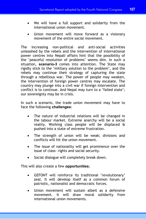- We will have a full support and solidarity from the international union movement.
- Union movement will move forward as a visionary movement of the entire social movement.

The increasing non-political and anti-social activities unleashed by the rebels and the intervention of international power centres into Nepali affairs hint that the possibility of the 'peaceful resolution of problems' seems dim. In such a situation, **scenario-3** comes into attention. The State may rigidly stick to the 'military solution to the problem', and the rebels may continue their strategy of capturing the state through a rebellious war. The power of people may weaken, the intervention of foreign power centres may escalate. The country may plunge into a civil war if foreign intervention and conflict is to continue. And Nepal may turn to a 'failed state'; our sovereignty may be in crisis.

In such a scenario, the trade union movement may have to face the following **challenges**:

- The nature of industrial relations will be changed in the labour market. Extreme anarchy will be a social reality. Working class people will be displaced & pushed into a state of extreme frustration.
- The strength of union will be weak; divisions and conflicts will hit the union movement.
- The issue of nationality will get prominence over the issue of class- rights and social security.
- Social dialogue will completely break down.

This will also create a few **opportunities**;

- GEFONT will reinforce its traditional 'revolutionary' zeal. It will develop itself as a common forum of patriotic, nationalist and democratic forces.
- Union movement will sustain albeit as a defensive movement. It will draw moral solidarity from international union movements.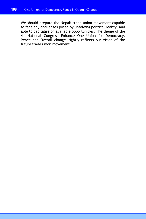We should prepare the Nepali trade union movement capable to face any challenges posed by unfolding political reality, and able to capitalise on available opportunities. The theme of the 4<sup>th</sup> National Congress-Enhance One Union for Democracy, Peace and Overall change—rightly reflects our vision of the future trade union movement.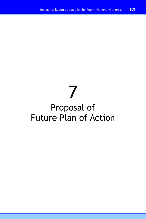# 7

# Proposal of Future Plan of Action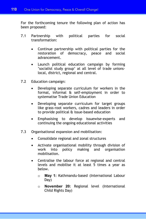For the forthcoming tenure the following plan of action has been proposed:

- 7.1 Partnership with political parties for social transformation:
	- Continue partnership with political parties for the restoration of democracy, peace and social advancement.
	- Launch political education campaign by forming 'socialist study group' at all level of trade unionslocal, district, regional and central.
- 7.2 Education campaign:
	- Developing separate curriculum for workers in the formal, informal & self-employment in order to systematise Trade Union Education
	- Developing separate curriculum for target groups like grass-root workers, cadres and leaders in order to provide political & issue-based education
	- Emphasising to develop issuewise-experts and continuing the ongoing educational activities
- 7.3 Organisational expansion and mobilisation:
	- Consolidate regional and zonal structures
	- Activate organisational mobility through division of work into policy making and organisation mobilisation.
	- Centralise the labour force at regional and central levels and mobilise it at least 5 times a year as below.
		- o **May 1:** Kathmandu-based (International Labour Day)
		- o **November 20:** Regional level (International Child Rights Day)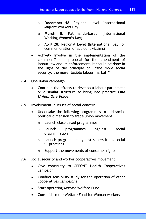- o **December 18:** Regional Level (International Migrant Workers Day)
- o **March 8:** Kathmandu-based (International Working Women's Day)
- o April 28: Regional Level (International Day for commemoration of accident victims)
- Actively involve in the implementation of the common 7-point proposal for the amendment of labour law and its enforcement. It should be done in the light of the principle of "the more social security, the more flexible labour market."
- 7.4 One union campaign
	- Continue the efforts to develop a labour parliament or a similar structure to bring into practice *One Union, One Voice*.
- 7.5 Involvement in issues of social concern
	- Undertake the following programmes to add sociopolitical dimension to trade union movement
		- o Launch class-based programmes
		- o Launch programmes against social discrimination
		- o Launch programmes against superstitious social ill-practices
		- o Support the movements of consumer rights
- 7.6 social security and worker cooperatives movement
	- Give continuity to GEFONT Health Cooperatives campaign
	- Conduct feasibility study for the operation of other cooperatives campaigns
	- Start operating Activist Welfare Fund
	- Consolidate the Welfare Fund for Woman workers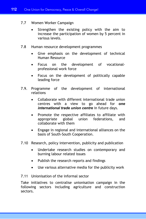- 7.7 Women Worker Campaign
	- Strengthen the existing policy with the aim to increase the participation of women by 5 percent in various levels.
- 7.8 Human resource development programmes
	- Give emphasis on the development of technical Human Resource
	- Focus on the development of vocationalprofessional work force
	- Focus on the development of politically capable leading force
- 7.9. Programme of the development of international relations
	- Collaborate with different international trade union centres with a view to go ahead for *one international trade union centre* in future days.
	- Promote the respective affiliates to affiliate with appropriate global union federations, and collaborate with them
	- Engage in regional and international alliances on the basis of South-South Cooperation.
- 7.10 Research, policy intervention, publicity and publication
	- Undertake research studies on contemporary and burning labour related issues
	- Publish the research reports and findings
	- Use various alternative media for the publicity work
- 7.11 Unionisation of the informal sector

Take initiatives to centralise unionisation campaign in the following sectors including agriculture and construction sectors.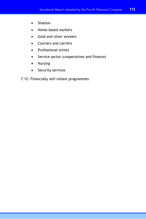- Shaloon
- Home-based workers
- Gold and silver workers
- Couriers and carriers
- Professional artists
- Service sector (cooperatives and finance)
- Nursing
- Security services
- 7.12. Financially self-reliant programmes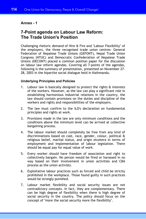# **Annex - 1**

# **7-Point agenda on Labour Law Reform: The Trade Union's Position**

Challenging rhetoric demand of Hire & Fire and "Labour Flexibility" of the employers, the three recognised trade union centres- General Federation of Nepalese Trade Unions (GEFONT), Nepal Trade Union Congress (NTUC) and Democratic Confederation of Nepalese Trade Unions (DECONT) placed a common position paper for the discussion on labour law reform agendas. Covering all 7-points of the agendas, following is the summary of presentation, presented on November 27- 28, 2003 in the bipartite social dialogue held in Kathmandu.

# **Underlying Principles and Policies**

- 1. Labour law is basically designed to protect the rights & interests of the workers. However, as the law can play a significant role in establishing harmonious industrial relations in the country, the law should contain provisions on the duties and discipline of the workers and rights and responsibilities of the employers.
- 2. The law must confirm to the ILO's declaration on fundamental principles and rights at work.
- 3. Provisions made in the law are only minimum conditions and the conditions above the minimum level can be arrived at collective bargaining process.
- 4. The labour market should completely be free from any kind of discriminations based on cast, race, gender, colour, political & religious belief, marital status, and origin etcetera in terms of employment and implementation of labour legislation. There should be equal pay for equal value of work.
- 5. Every worker should have freedom of association and right to collectively bargain. No person would be fired or harassed in no way based on their involvement in union activities and CBA process as the union activists.
- 6. Exploitative labour practices such as forced and child be strictly prohibited in the workplace. Those found guilty in such practices would be strongly punished.
- 7. Labour market flexibility and social security issues are not contradictory concepts. In fact, they are complementary. There can be high degree of flexibility when there is high degree of social security in the country. The policy should focus on the concept of "more the social security more the flexibility".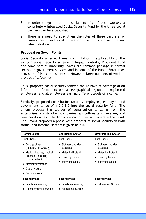- 8. In order to guarantee the social security of each worker, a contributory Integrated Social Security Fund by the three social partners can be established.
- 9. There is a need to strengthen the roles of three partners for harmonious industrial relation and improve labour administration.

## **Proposal on Seven Points**

Social Security Scheme: There is a limitation in applicability of the existing social security scheme in Nepal. Gratuity, Provident Fund and some sort of maternity leaves are common package in formal sector. In government services and in some of the Public Enterprises provision of Pension also exists. However, large numbers of workers are out of safety net.

Thus, proposed social security scheme should have of coverage of all informal and formal sectors, all geographical regions, all registered employees, and all employees earning different levels of income.

Similarly, proposed contribution ratio by employees, employers and government to be of 1:2.5:2.5 into the social security fund. The unions propose the sources of contribution to come from the enterprises, construction companies, agriculture land revenue, and remuneration tax. The tripartite committee will operate the Fund. The unions proposed a phase wise proposal of social security in both formal and informal sectors is given below.

| <b>Formal Sector</b>                                                                                                                             | <b>Contruction Sector</b>                                                          | <b>Other Informal Sector</b>                                                  |
|--------------------------------------------------------------------------------------------------------------------------------------------------|------------------------------------------------------------------------------------|-------------------------------------------------------------------------------|
| <b>First Phase</b>                                                                                                                               | <b>First Phase</b>                                                                 | <b>First Phase</b>                                                            |
| Old age phase<br>(Pension, PF, Gratuity)                                                                                                         | • Sickness and Medical<br>Expenses                                                 | • Sickness and Medical<br>Expenses                                            |
| • Medical Leaves, Medical<br>expenses (including<br>hospitalisation)<br><b>Maternity Protection</b><br>Disability benefit<br>• Survivors benefit | <b>Maternity Protection</b><br>٠<br>Disability benefit<br>٠<br>• Survivors benefit | <b>Maternity Protection</b><br>Disability benefit<br>٠<br>• Survivors benefit |
| <b>Second Phase</b>                                                                                                                              | <b>Second Phase</b>                                                                | <b>Second Phase</b>                                                           |
| Family responsibility<br>Unemployment allowance                                                                                                  | • Family responsibility<br>• Educational Support                                   | • Educational Support                                                         |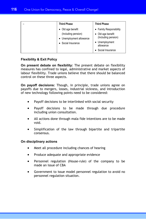|  | <b>Third Phase</b>                                                                     | <b>Third Phase</b>                                                                    |
|--|----------------------------------------------------------------------------------------|---------------------------------------------------------------------------------------|
|  | Old age benefit<br>(Including pension)<br>• Unemployment allowance<br>Social Insurance | • Family Responsibility<br>• Old age benefit<br>(Including pension)<br>• Unemployment |
|  |                                                                                        | allowance<br>Social Insurance                                                         |

# **Flexibility & Exit Policy**

**On present debate on flexibility:** The present debate on flexibility measures has confined to legal, administrative and market aspects of labour flexibility. Trade unions believe that there should be balanced control on these three aspects.

**On payoff decisions:** Though, in principle, trade unions agree on payoffs due to mergers, losses, industrial sickness, and introduction of new technology following points need to be considered:

- Payoff decisions to be interlinked with social security
- Payoff decisions to be made through due procedure including union consultation.
- All actions done through mala fide intentions are to be made void.
- Simplification of the law through bipartite and tripartite consensus.

# **On disciplinary actions**

- Meet all procedure including chances of hearing
- Produce adequate and appropriate evidence
- Personnel regulation (House-rule) of the company to be made an issue of CBA
- Government to issue model personnel regulation to avoid no personnel regulation situation.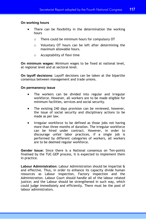# **On working hours**

- There can be flexibility in the determination the working hours
	- $\circ$  There could be minimum hours for compulsory OT
	- o Voluntary OT hours can be left after determining the maximum allowable hours.
	- o Acceptability of flexi time

**On minimum wages:** Minimum wages to be fixed at national level, at regional level and at sectoral level.

**On layoff decisions:** Layoff decisions can be taken at the bipartite consensus between management and trade unions.

# **On permanency issue**

- The workers can be divided into regular and irregular workforce. However, all workers are to be made eligible for minimum facilities, services and social security.
- The existing 240 days provision can be reviewed, however, the issue of social security and disciplinary actions to be made as per law.
- Irregular workforce to be defined as those jobs not having more than three months of duration. The irregular workforce can be hired under contract. However, in order to discourage unfair labor practices, if a single job is performed by different categories of workers, all workers are to be deemed regular workforce.

**Gender Issue:** Since there is a National consensus on Ten-points finalised by the TUC-GEP process, it is expected to implement them in practice.

**Labour Administration:** Labour Administration should be impartial & and effective. Thus, in order to enhance its capacity divide human resources as Labour inspection, Factory inspection and the Administration. Labour Court should handle all of the labour related justice; and the Labour should be strengthened in such way, which could judge immediately and efficiently. There must be the pool of labour administrators.